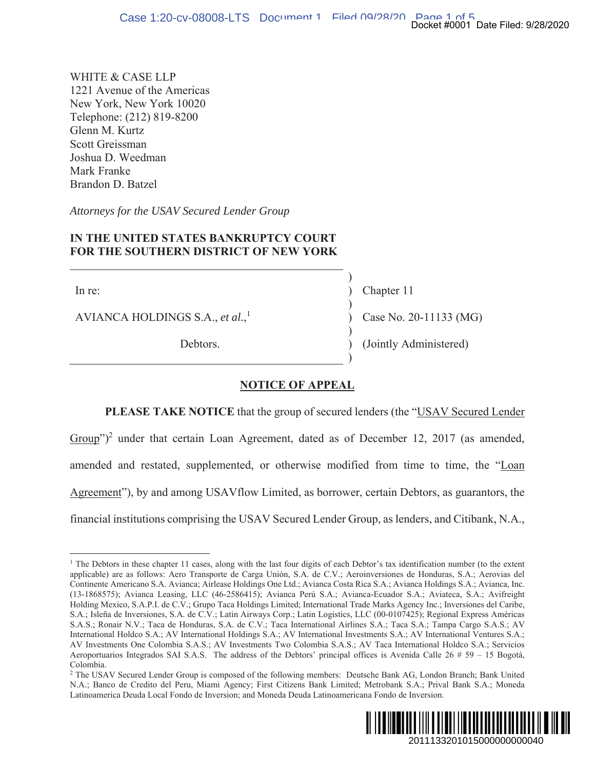WHITE & CASE LLP 1221 Avenue of the Americas New York, New York 10020 Telephone: (212) 819-8200 Glenn M. Kurtz Scott Greissman Joshua D. Weedman Mark Franke Brandon D. Batzel

Attorneys for the USAV Secured Lender Group

# IN THE UNITED STATES BANKRUPTCY COURT **FOR THE SOUTHERN DISTRICT OF NEW YORK**

In re:

AVIANCA HOLDINGS S.A., et al.,<sup>1</sup>

Debtors.

Chapter 11 Case No. 20-11133 (MG)

(Jointly Administered)

# **NOTICE OF APPEAL**

PLEASE TAKE NOTICE that the group of secured lenders (the "USAV Secured Lender

Group")<sup>2</sup> under that certain Loan Agreement, dated as of December 12, 2017 (as amended, amended and restated, supplemented, or otherwise modified from time to time, the "Loan Agreement"), by and among USAV flow Limited, as borrower, certain Debtors, as guarantors, the financial institutions comprising the USAV Secured Lender Group, as lenders, and Citibank, N.A.,

<sup>&</sup>lt;sup>2</sup> The USAV Secured Lender Group is composed of the following members: Deutsche Bank AG, London Branch; Bank United N.A.; Banco de Credito del Peru, Miami Agency; First Citizens Bank Limited; Metrobank S.A.; Prival Bank S.A.; Moneda Latinoamerica Deuda Local Fondo de Inversion; and Moneda Deuda Latinoamericana Fondo de Inversion.



<sup>&</sup>lt;sup>1</sup> The Debtors in these chapter 11 cases, along with the last four digits of each Debtor's tax identification number (to the extent applicable) are as follows: Aero Transporte de Carga Unión, S.A. de C.V.; Aeroinversiones de Honduras, S.A.; Aerovias del Continente Americano S.A. Avianca; Airlease Holdings One Ltd.; Avianca Costa Rica S.A.; Avianca Holdings S.A.; Avianca, Inc. (13-1868575); Avianca Leasing, LLC (46-2586415); Avianca Perú S.A.; Avianca-Ecuador S.A.; Aviateca, S.A.; Avifreight Holding Mexico, S.A.P.I. de C.V.; Grupo Taca Holdings Limited; International Trade Marks Agency Inc.; Inversiones del Caribe, S.A.; Isleña de Inversiones, S.A. de C.V.; Latin Airways Corp.; Latin Logistics, LLC (00-0107425); Regional Express Américas S.A.S.; Ronair N.V.; Taca de Honduras, S.A. de C.V.; Taca International Airlines S.A.; Taca S.A.; Tampa Cargo S.A.S.; AV International Holdco S.A.; AV International Holdings S.A.; AV International Investments S.A.; AV International Ventures S.A.; AV Investments One Colombia S.A.S.; AV Investments Two Colombia S.A.S.; AV Taca International Holdco S.A.; Servicios Aeroportuarios Integrados SAI S.A.S. The address of the Debtors' principal offices is Avenida Calle  $26 \# 59 - 15$  Bogotá, Colombia.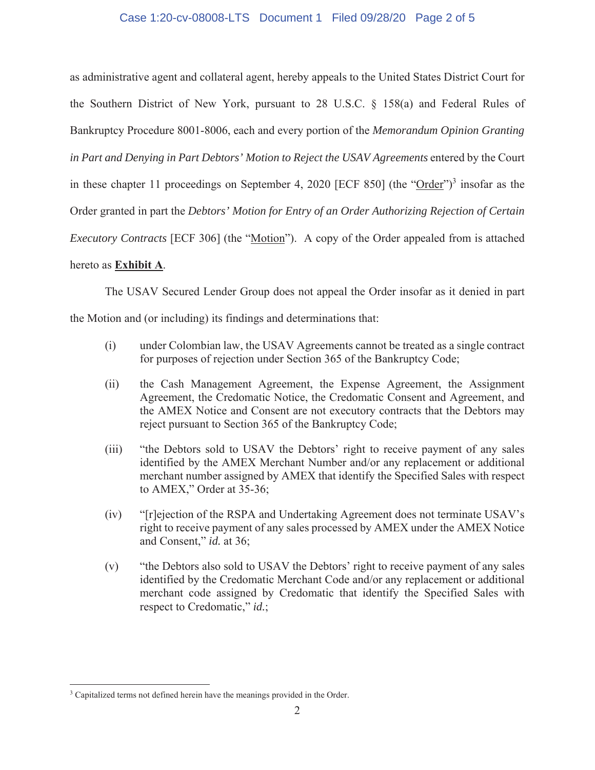#### Case 1:20-cv-08008-LTS Document 1 Filed 09/28/20 Page 2 of 5

as administrative agent and collateral agent, hereby appeals to the United States District Court for the Southern District of New York, pursuant to 28 U.S.C.  $\S$  158(a) and Federal Rules of Bankruptcy Procedure 8001-8006, each and every portion of the *Memorandum Opinion Granting in Part and Denying in Part Debtors' Motion to Reject the USAV Agreements* entered by the Court in these chapter 11 proceedings on September 4, 2020 [ECF 850] (the " $Order$ ")<sup>3</sup> insofar as the Order granted in part the *Debtors' Motion for Entry of an Order Authorizing Rejection of Certain Executory Contracts* [ECF 306] (the "Motion"). A copy of the Order appealed from is attached hereto as **Exhibit A**.

# The USAV Secured Lender Group does not appeal the Order insofar as it denied in part

the Motion and (or including) its findings and determinations that:

- $(i)$  under Colombian law, the USAV Agreements cannot be treated as a single contract for purposes of rejection under Section 365 of the Bankruptcy Code;
- (ii) the Cash Management Agreement, the Expense Agreement, the Assignment Agreement, the Credomatic Notice, the Credomatic Consent and Agreement, and the AMEX Notice and Consent are not executory contracts that the Debtors may reject pursuant to Section 365 of the Bankruptcy Code;
- (iii) "the Debtors sold to USAV the Debtors' right to receive payment of any sales identified by the AMEX Merchant Number and/or any replacement or additional merchant number assigned by AMEX that identify the Specified Sales with respect to AMEX," Order at 35-36;
- $(iv)$  "[r]ejection of the RSPA and Undertaking Agreement does not terminate USAV's right to receive payment of any sales processed by AMEX under the AMEX Notice and Consent," *id.* at 36;
- $(v)$  "the Debtors also sold to USAV the Debtors' right to receive payment of any sales identified by the Credomatic Merchant Code and/or any replacement or additional merchant code assigned by Credomatic that identify the Specified Sales with respect to Credomatic," *id.*;

<sup>3</sup> Capitalized terms not defined herein have the meanings provided in the Order.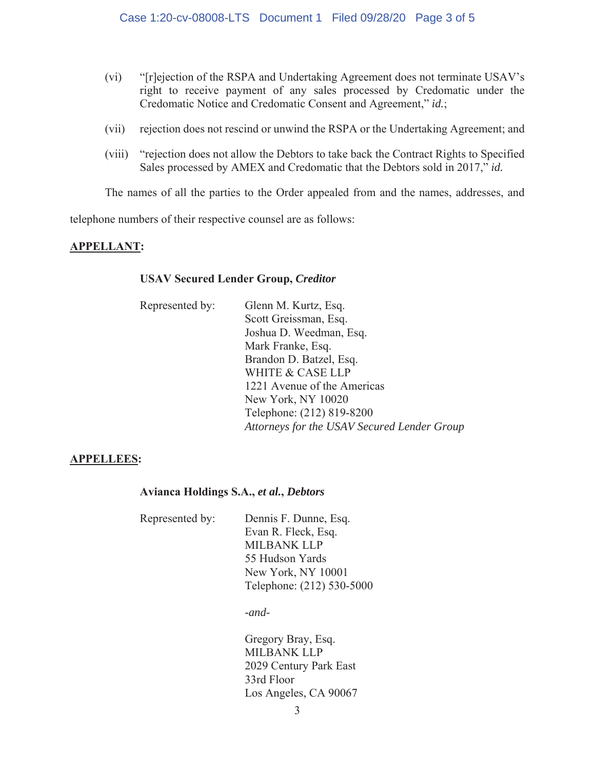- "[r]ejection of the RSPA and Undertaking Agreement does not terminate USAV's  $(vi)$ right to receive payment of any sales processed by Credomatic under the Credomatic Notice and Credomatic Consent and Agreement," id.;
- rejection does not rescind or unwind the RSPA or the Undertaking Agreement; and  $(vii)$
- $(viii)$ "rejection does not allow the Debtors to take back the Contract Rights to Specified Sales processed by AMEX and Credomatic that the Debtors sold in 2017," id.

The names of all the parties to the Order appealed from and the names, addresses, and

telephone numbers of their respective counsel are as follows:

## **APPELLANT:**

#### **USAV Secured Lender Group, Creditor**

| Represented by: | Glenn M. Kurtz, Esq.                        |
|-----------------|---------------------------------------------|
|                 | Scott Greissman, Esq.                       |
|                 | Joshua D. Weedman, Esq.                     |
|                 | Mark Franke, Esq.                           |
|                 | Brandon D. Batzel, Esq.                     |
|                 | <b>WHITE &amp; CASE LLP</b>                 |
|                 | 1221 Avenue of the Americas                 |
|                 | New York, NY 10020                          |
|                 | Telephone: (212) 819-8200                   |
|                 | Attorneys for the USAV Secured Lender Group |

## **APPELLEES:**

#### Avianca Holdings S.A., et al., Debtors

Represented by: Dennis F. Dunne, Esq. Evan R. Fleck, Esq. **MILBANK LLP** 55 Hudson Yards New York, NY 10001 Telephone: (212) 530-5000

 $-and-$ 

Gregory Bray, Esq. **MILBANK LLP** 2029 Century Park East 33rd Floor Los Angeles, CA 90067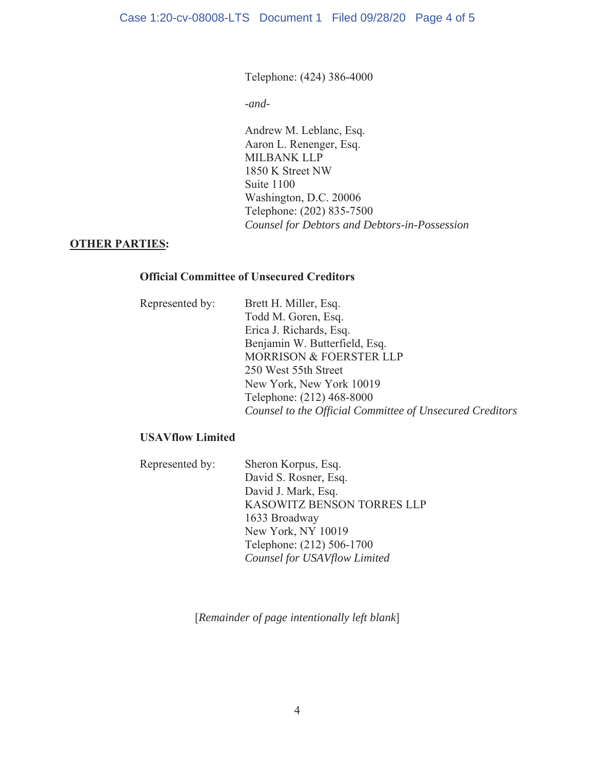# Telephone: (424) 386-4000

*-and-*

Andrew M. Leblanc, Esq. Aaron L. Renenger, Esq. MILBANK LLP 1850 K Street NW Suite 1100 Washington, D.C. 20006 Telephone: (202) 835-7500 *Counsel for Debtors and Debtors-in-Possession*

# **27 OTHER PARTIES:**

# **2IIILGO COMMITTEE OF Unsecured Creditors**

| Represented by: | Brett H. Miller, Esq.                                    |
|-----------------|----------------------------------------------------------|
|                 | Todd M. Goren, Esq.                                      |
|                 | Erica J. Richards, Esq.                                  |
|                 | Benjamin W. Butterfield, Esq.                            |
|                 | <b>MORRISON &amp; FOERSTER LLP</b>                       |
|                 | 250 West 55th Street                                     |
|                 | New York, New York 10019                                 |
|                 | Telephone: (212) 468-8000                                |
|                 | Counsel to the Official Committee of Unsecured Creditors |

# **USAVflow Limited**

| Represented by: | Sheron Korpus, Esq.               |
|-----------------|-----------------------------------|
|                 | David S. Rosner, Esq.             |
|                 | David J. Mark, Esq.               |
|                 | <b>KASOWITZ BENSON TORRES LLP</b> |
|                 | 1633 Broadway                     |
|                 | New York, NY 10019                |
|                 | Telephone: (212) 506-1700         |
|                 | Counsel for USAVflow Limited      |

>*Remainder of page intentionally left blank*@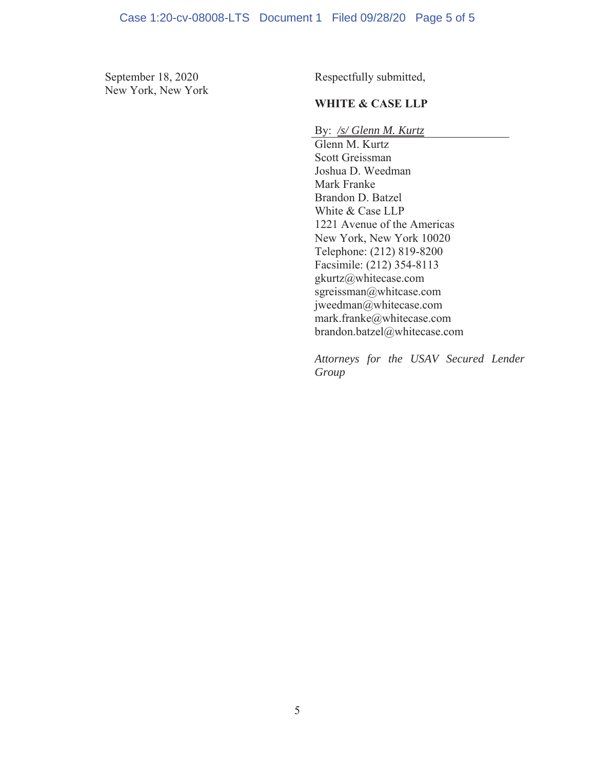New York, New York

September 18, 2020 Respectfully submitted,

# **WHITE & CASE LLP**

By: /s/ Glenn M. Kurtz

Glenn M. Kurtz Scott Greissman Joshua D. Weedman Mark Franke Brandon D. Batzel White & Case LLP 1221 Avenue of the Americas New York, New York 10020 Telephone: (212) 819-8200 Facsimile:  $(212)$  354-8113 gkurtz@whitecase.com sgreissman@whitcase.com jweedman@whitecase.com  $mark$ .franke@whitecase.com brandon.batzel@whitecase.com

*Attorneys for the USAV Secured Lender Group*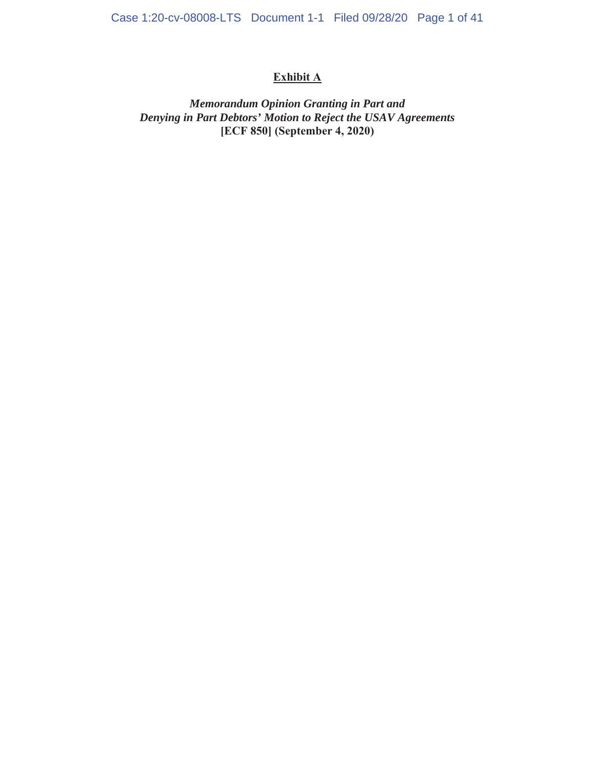# **Exhibit A**

# *Memorandum Opinion Granting in Part and Denying in Part Debtors' Motion to Reject the USAV Agreements*  [ECF 850] (September 4, 2020)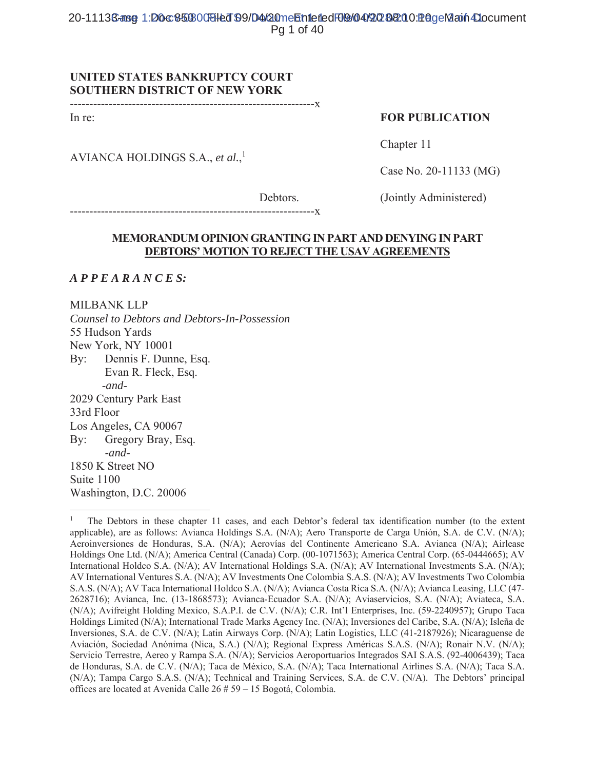# **UNITED STATES BANKRUPTCY COURT SOUTHERN DISTRICT OF NEW YORK**

In re:

## **FOR PUBLICATION**

AVIANCA HOLDINGS S.A., et al.,<sup>1</sup>

Chapter 11

Case No. 20-11133 (MG)

Debtors.

(Jointly Administered)

----------------<mark>X</mark> 

# **MEMORANDUM OPINION GRANTING IN PART AND DENYING IN PART** DEBTORS' MOTION TO REJECT THE USAV AGREEMENTS

 $APPEARANCES:$ 

**MILBANK LLP** Counsel to Debtors and Debtors-In-Possession 55 Hudson Yards New York, NY 10001 Dennis F. Dunne, Esq.  $\operatorname{By}$ : Evan R. Fleck, Esq.  $-and-$ 2029 Century Park East 33rd Floor Los Angeles, CA 90067 Gregory Bray, Esq.  $\operatorname{Bv}:$  $-$ and $-$ 1850 K Street NO Suite 1100 Washington, D.C. 20006

The Debtors in these chapter 11 cases, and each Debtor's federal tax identification number (to the extent applicable), are as follows: Avianca Holdings S.A. (N/A); Aero Transporte de Carga Unión, S.A. de C.V. (N/A); Aeroinversiones de Honduras, S.A. (N/A); Aerovías del Continente Americano S.A. Avianca (N/A); Airlease Holdings One Ltd. (N/A); America Central (Canada) Corp. (00-1071563); America Central Corp. (65-0444665); AV International Holdco S.A. (N/A); AV International Holdings S.A. (N/A); AV International Investments S.A. (N/A); AV International Ventures S.A. (N/A); AV Investments One Colombia S.A.S. (N/A); AV Investments Two Colombia S.A.S. (N/A); AV Taca International Holdco S.A. (N/A); Avianca Costa Rica S.A. (N/A); Avianca Leasing, LLC (47-2628716); Avianca, Inc. (13-1868573); Avianca-Ecuador S.A. (N/A); Aviaservicios, S.A. (N/A); Aviateca, S.A. (N/A); Avifreight Holding Mexico, S.A.P.I. de C.V. (N/A); C.R. Int'l Enterprises, Inc. (59-2240957); Grupo Taca Holdings Limited (N/A); International Trade Marks Agency Inc. (N/A); Inversiones del Caribe, S.A. (N/A); Isleña de Inversiones, S.A. de C.V. (N/A); Latin Airways Corp. (N/A); Latin Logistics, LLC (41-2187926); Nicaraguense de Aviación, Sociedad Anónima (Nica, S.A.) (N/A); Regional Express Américas S.A.S. (N/A); Ronair N.V. (N/A); Servicio Terrestre, Aereo y Rampa S.A. (N/A); Servicios Aeroportuarios Integrados SAI S.A.S. (92-4006439); Taca de Honduras, S.A. de C.V. (N/A); Taca de México, S.A. (N/A); Taca International Airlines S.A. (N/A); Taca S.A. (N/A); Tampa Cargo S.A.S. (N/A); Technical and Training Services, S.A. de C.V. (N/A). The Debtors' principal offices are located at Avenida Calle 26 # 59 - 15 Bogotá, Colombia.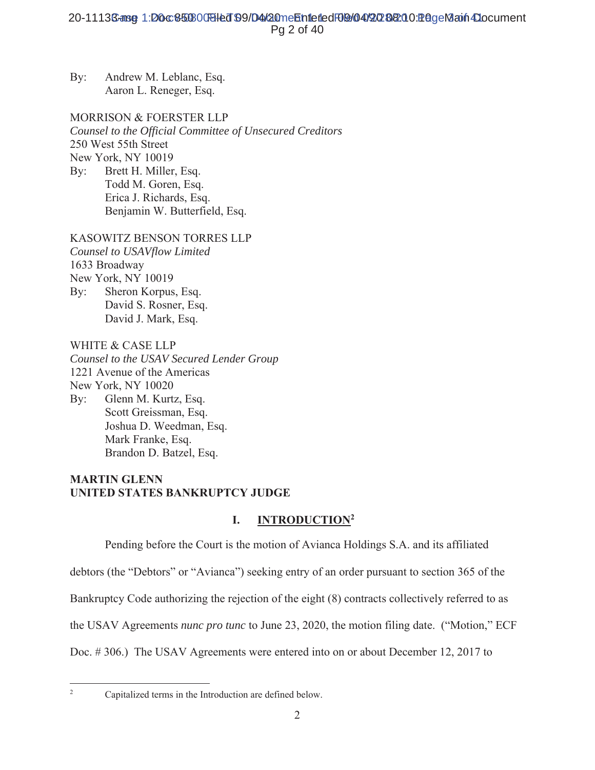MORRISON & FOERSTER LLP *Counsel to the Official Committee of Unsecured Creditors*  250 West 55th Street New York, NY 10019 By: Brett H. Miller, Esq. Todd M. Goren, Esq.

Erica J. Richards, Esq. Benjamin W. Butterfield, Esq.

# KASOWITZ BENSON TORRES LLP

*Counsel to USAVflow Limited*  1633 Broadway New York, NY 10019 By: Sheron Korpus, Esq. David S. Rosner, Esq. David J. Mark, Esq.

WHITE & CASE LLP

*Counsel to the USAV Secured Lender Group*  1221 Avenue of the Americas New York, NY 10020 By: Glenn M. Kurtz, Esq. Scott Greissman, Esq. Joshua D. Weedman, Esq. Mark Franke, Esq. Brandon D. Batzel, Esq.

# **MARTIN GLENN UNITED STATES BANKRUPTCY JUDGE**

# **I.** INTRODUCTION<sup>2</sup>

Pending before the Court is the motion of Avianca Holdings S.A. and its affiliated

debtors (the "Debtors" or "Avianca") seeking entry of an order pursuant to section 365 of the

Bankruptcy Code authorizing the rejection of the eight (8) contracts collectively referred to as

the USAV Agreements *nunc pro tunc* to June 23, 2020, the motion filing date. ("Motion," ECF

Doc. #306.) The USAV Agreements were entered into on or about December 12, 2017 to

 $\overline{2}$ 

By: Andrew M. Leblanc, Esq. Aaron L. Reneger, Esq.

Capitalized terms in the Introduction are defined below.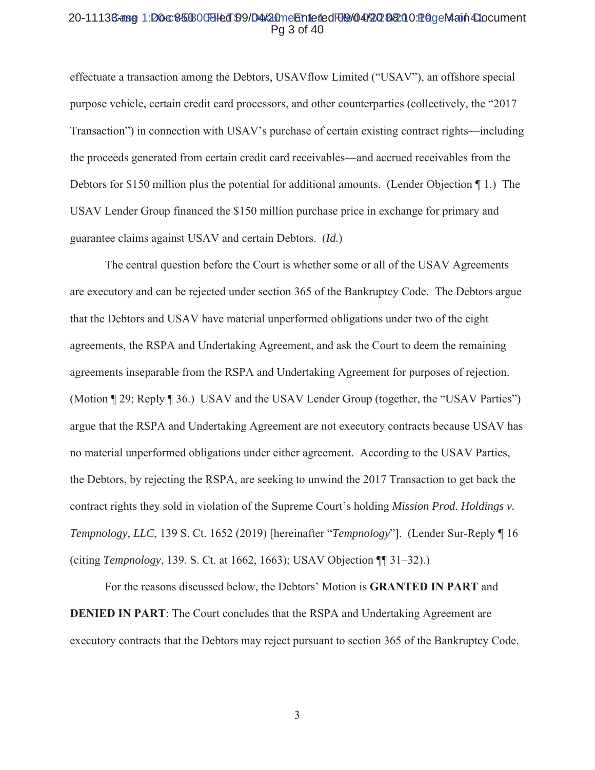#### 20-11136-ang 1:D0c850800Bled 99/D4/20meEntetedF09/04/2020&10 PageMain4Document Pg 3 of 40

effectuate a transaction among the Debtors, USAV flow Limited ("USAV"), an offshore special purpose vehicle, certain credit card processors, and other counterparties (collectively, the "2017" Transaction") in connection with USAV's purchase of certain existing contract rights—including the proceeds generated from certain credit card receivables—and accrued receivables from the Debtors for \$150 million plus the potential for additional amounts. (Lender Objection ¶ 1.) The USAV Lender Group financed the \$150 million purchase price in exchange for primary and guarantee claims against USAV and certain Debtors. (Id.)

The central question before the Court is whether some or all of the USAV Agreements are executory and can be rejected under section 365 of the Bankruptcy Code. The Debtors argue that the Debtors and USAV have material unperformed obligations under two of the eight agreements, the RSPA and Undertaking Agreement, and ask the Court to deem the remaining agreements inseparable from the RSPA and Undertaking Agreement for purposes of rejection. (Motion ¶ 29; Reply ¶ 36.) USAV and the USAV Lender Group (together, the "USAV Parties") argue that the RSPA and Undertaking Agreement are not executory contracts because USAV has no material unperformed obligations under either agreement. According to the USAV Parties, the Debtors, by rejecting the RSPA, are seeking to unwind the 2017 Transaction to get back the contract rights they sold in violation of the Supreme Court's holding *Mission Prod. Holdings v.* Tempnology, LLC, 139 S. Ct. 1652 (2019) [hereinafter "Tempnology"]. (Lender Sur-Reply 16 (citing Tempnology, 139. S. Ct. at 1662, 1663); USAV Objection [1] 31–32).)

For the reasons discussed below, the Debtors' Motion is GRANTED IN PART and **DENIED IN PART:** The Court concludes that the RSPA and Undertaking Agreement are executory contracts that the Debtors may reject pursuant to section 365 of the Bankruptcy Code.

 $\mathfrak{Z}$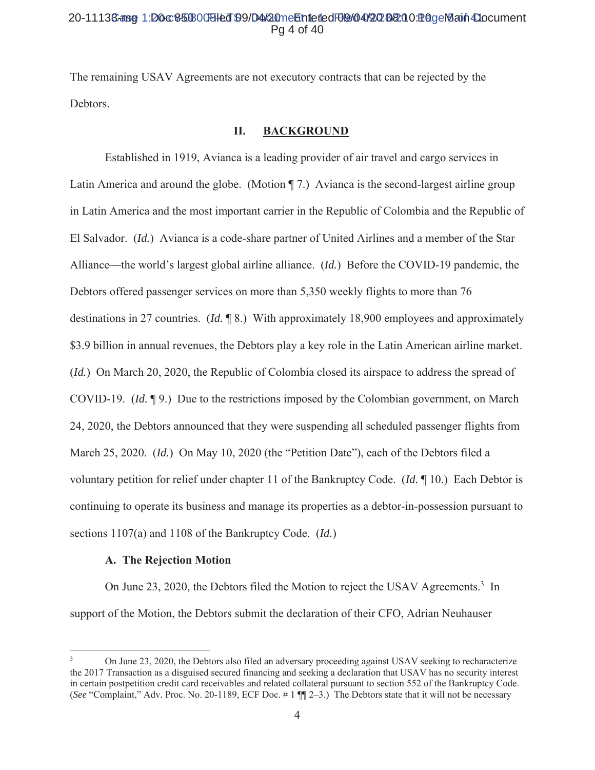## 20-1113Sanse 1:D0c850300BHed 99/D4/20mehhiefedF09/04/202020128geMain4Document Pa 4 of 40

The remaining USAV Agreements are not executory contracts that can be rejected by the Debtors.

#### II. **BACKGROUND**

Established in 1919, Avianca is a leading provider of air travel and cargo services in Latin America and around the globe. (Motion  $\P$  7.) Avianca is the second-largest airline group in Latin America and the most important carrier in the Republic of Colombia and the Republic of El Salvador. (*Id.*) Avianca is a code-share partner of United Airlines and a member of the Star Alliance—the world's largest global airline alliance. (Id.) Before the COVID-19 pandemic, the Debtors offered passenger services on more than 5,350 weekly flights to more than 76 destinations in 27 countries. (*Id.*  $\sqrt{8}$ .) With approximately 18,900 employees and approximately \$3.9 billion in annual revenues, the Debtors play a key role in the Latin American airline market. (*Id.*) On March 20, 2020, the Republic of Colombia closed its airspace to address the spread of COVID-19.  $(Id. \P$ 9.) Due to the restrictions imposed by the Colombian government, on March 24, 2020, the Debtors announced that they were suspending all scheduled passenger flights from March 25, 2020. (Id.) On May 10, 2020 (the "Petition Date"), each of the Debtors filed a voluntary petition for relief under chapter 11 of the Bankruptcy Code. (*Id.*  $\P$  10.) Each Debtor is continuing to operate its business and manage its properties as a debtor-in-possession pursuant to sections  $1107(a)$  and  $1108$  of the Bankruptcy Code. (*Id.*)

#### A. The Rejection Motion

On June 23, 2020, the Debtors filed the Motion to reject the USAV Agreements.<sup>3</sup> In support of the Motion, the Debtors submit the declaration of their CFO, Adrian Neuhauser

On June 23, 2020, the Debtors also filed an adversary proceeding against USAV seeking to recharacterize the 2017 Transaction as a disguised secured financing and seeking a declaration that USAV has no security interest in certain postpetition credit card receivables and related collateral pursuant to section 552 of the Bankruptcy Code. (See "Complaint," Adv. Proc. No. 20-1189, ECF Doc. #1 ¶ 2-3.) The Debtors state that it will not be necessary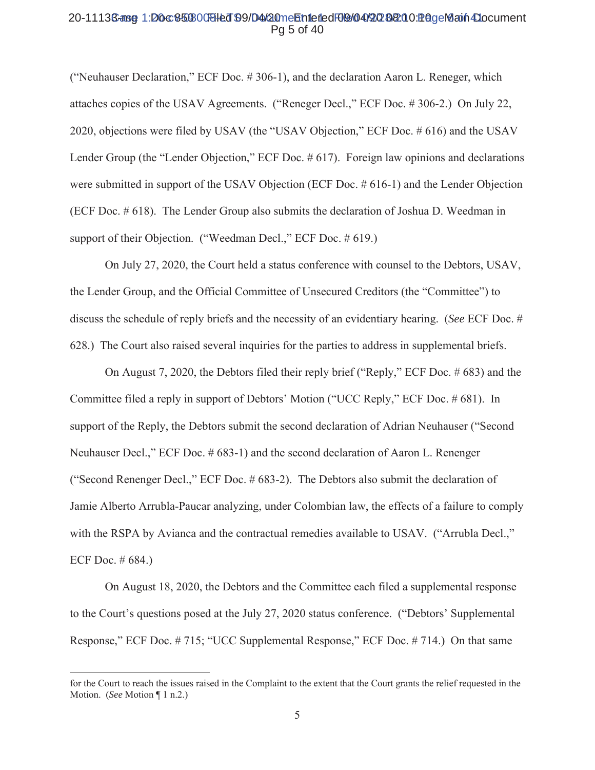#### 20-1113Sanse 1:D0c850800Biled 99/D4/20meEntlefledF09/04/20202020128geMaxin4Document Pg 5 of 40

("Neuhauser Declaration," ECF Doc. #306-1), and the declaration Aaron L. Reneger, which attaches copies of the USAV Agreements. ("Reneger Decl.," ECF Doc. #306-2.) On July 22, 2020, objections were filed by USAV (the "USAV Objection," ECF Doc. #616) and the USAV Lender Group (the "Lender Objection," ECF Doc. # 617). Foreign law opinions and declarations were submitted in support of the USAV Objection (ECF Doc.  $#616-1$ ) and the Lender Objection (ECF Doc. # 618). The Lender Group also submits the declaration of Joshua D. Weedman in support of their Objection. ("Weedman Decl.," ECF Doc. # 619.)

On July 27, 2020, the Court held a status conference with counsel to the Debtors, USAV, the Lender Group, and the Official Committee of Unsecured Creditors (the "Committee") to discuss the schedule of reply briefs and the necessity of an evidentiary hearing. (See ECF Doc. # 628.) The Court also raised several inquiries for the parties to address in supplemental briefs.

On August 7, 2020, the Debtors filed their reply brief ("Reply," ECF Doc.  $\# 683$ ) and the Committee filed a reply in support of Debtors' Motion ("UCC Reply," ECF Doc. #681). In support of the Reply, the Debtors submit the second declaration of Adrian Neuhauser ("Second Neuhauser Decl.," ECF Doc. # 683-1) and the second declaration of Aaron L. Renenger ("Second Renenger Decl.," ECF Doc. # 683-2). The Debtors also submit the declaration of Jamie Alberto Arrubla-Paucar analyzing, under Colombian law, the effects of a failure to comply with the RSPA by Avianca and the contractual remedies available to USAV. ("Arrubla Decl.," ECF Doc.  $#684$ .)

On August 18, 2020, the Debtors and the Committee each filed a supplemental response to the Court's questions posed at the July 27, 2020 status conference. ("Debtors' Supplemental Response," ECF Doc. #715; "UCC Supplemental Response," ECF Doc. #714.) On that same

for the Court to reach the issues raised in the Complaint to the extent that the Court grants the relief requested in the Motion. (See Motion | 1 n.2.)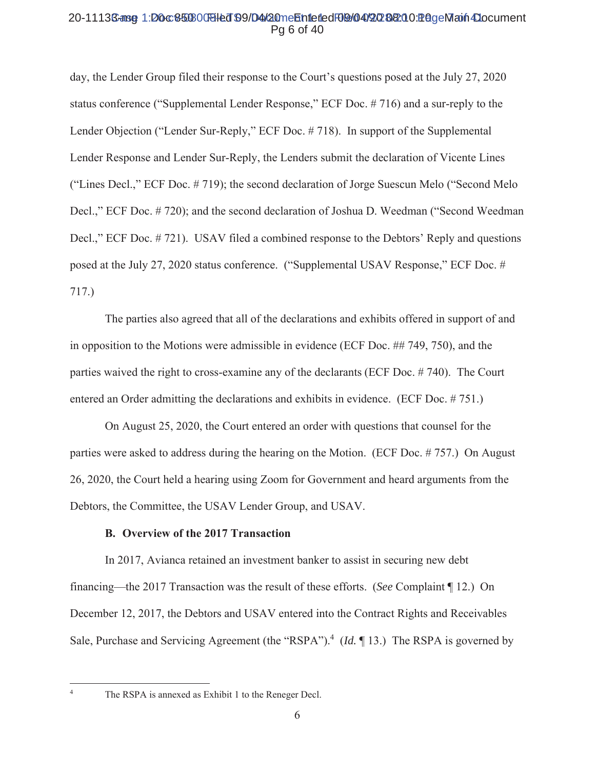## 20-11136-ase 1:D0c850800Bled 99/D4/20meEntetedF09/04/2020&10 PageMain4Document Pa 6 of 40

day, the Lender Group filed their response to the Court's questions posed at the July 27, 2020 status conference ("Supplemental Lender Response," ECF Doc. #716) and a sur-reply to the Lender Objection ("Lender Sur-Reply," ECF Doc. #718). In support of the Supplemental Lender Response and Lender Sur-Reply, the Lenders submit the declaration of Vicente Lines ("Lines Decl.," ECF Doc. #719); the second declaration of Jorge Suescun Melo ("Second Melo") Decl.," ECF Doc. #720); and the second declaration of Joshua D. Weedman ("Second Weedman" Decl.," ECF Doc. #721). USAV filed a combined response to the Debtors' Reply and questions posed at the July 27, 2020 status conference. ("Supplemental USAV Response," ECF Doc. #  $717.$ 

The parties also agreed that all of the declarations and exhibits offered in support of and in opposition to the Motions were admissible in evidence (ECF Doc.  $\#$  749, 750), and the parties waived the right to cross-examine any of the declarants (ECF Doc. #740). The Court entered an Order admitting the declarations and exhibits in evidence. (ECF Doc. #751.)

On August 25, 2020, the Court entered an order with questions that counsel for the parties were asked to address during the hearing on the Motion. (ECF Doc. #757.) On August 26, 2020, the Court held a hearing using Zoom for Government and heard arguments from the Debtors, the Committee, the USAV Lender Group, and USAV.

#### **B.** Overview of the 2017 Transaction

In 2017, Avianca retained an investment banker to assist in securing new debt financing—the 2017 Transaction was the result of these efforts. (See Complaint  $\P$ 12.) On December 12, 2017, the Debtors and USAV entered into the Contract Rights and Receivables Sale, Purchase and Servicing Agreement (the "RSPA").<sup>4</sup> (Id.  $\P$  13.) The RSPA is governed by

 $\overline{4}$ 

The RSPA is annexed as Exhibit 1 to the Reneger Decl.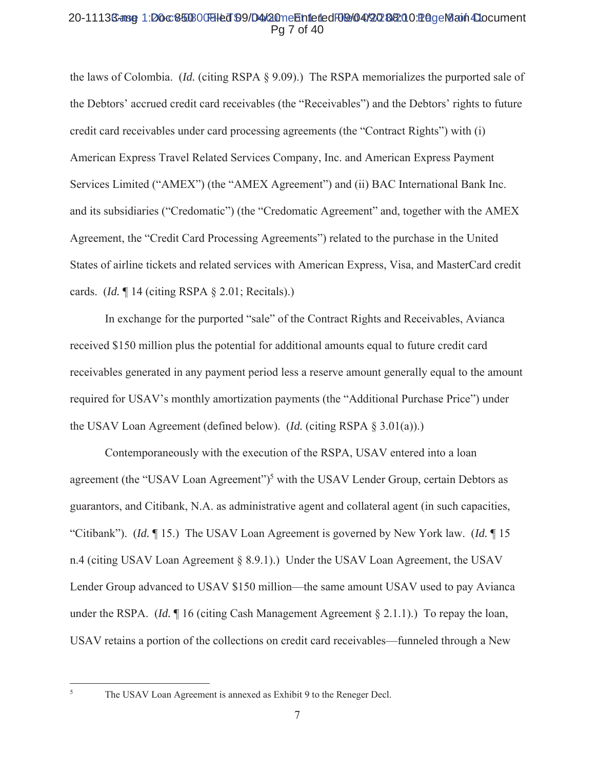## 20-11136-ang 1:D0c850800Bled 99/D4/20meEntetedF09/04/2020200 PageMain4Document Pa 7 of 40

the laws of Colombia. (*Id.* (citing RSPA  $\S$  9.09).) The RSPA memorializes the purported sale of the Debtors' accrued credit card receivables (the "Receivables") and the Debtors' rights to future credit card receivables under card processing agreements (the "Contract Rights") with (i) American Express Travel Related Services Company, Inc. and American Express Payment Services Limited ("AMEX") (the "AMEX Agreement") and (ii) BAC International Bank Inc. and its subsidiaries ("Credomatic") (the "Credomatic Agreement" and, together with the AMEX Agreement, the "Credit Card Processing Agreements") related to the purchase in the United States of airline tickets and related services with American Express, Visa, and MasterCard credit cards. (*Id.*  $\P$  14 (citing RSPA  $\S$  2.01; Recitals).)

In exchange for the purported "sale" of the Contract Rights and Receivables, Avianca received \$150 million plus the potential for additional amounts equal to future credit card receivables generated in any payment period less a reserve amount generally equal to the amount required for USAV's monthly amortization payments (the "Additional Purchase Price") under the USAV Loan Agreement (defined below). *(Id.* (citing RSPA  $\S$  3.01(a)).)

Contemporaneously with the execution of the RSPA, USAV entered into a loan agreement (the "USAV Loan Agreement")<sup>5</sup> with the USAV Lender Group, certain Debtors as guarantors, and Citibank, N.A. as administrative agent and collateral agent (in such capacities, "Citibank"). (*Id.*  $\llbracket 15 \rrbracket$ ) The USAV Loan Agreement is governed by New York law. (*Id.*  $\llbracket 15 \rrbracket$ n.4 (citing USAV Loan Agreement § 8.9.1).) Under the USAV Loan Agreement, the USAV Lender Group advanced to USAV \$150 million—the same amount USAV used to pay Avianca under the RSPA. (Id.  $\P$  16 (citing Cash Management Agreement  $\S$  2.1.1).) To repay the loan, USAV retains a portion of the collections on credit card receivables—funneled through a New

 $\overline{5}$ 

The USAV Loan Agreement is annexed as Exhibit 9 to the Reneger Decl.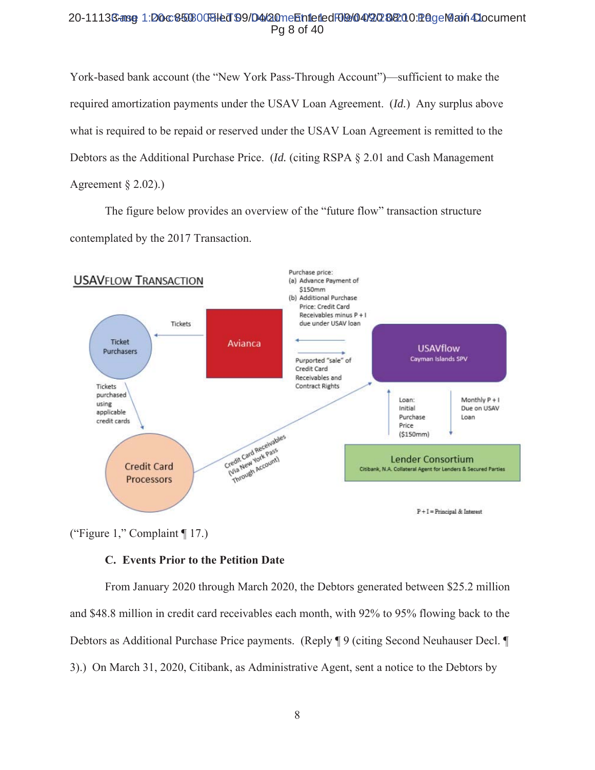## 20-1113Sanse 1:D0c850300BHed 99/D4/20mehhiefedF09/04/202020128geMann4Document Pg 8 of 40

York-based bank account (the "New York Pass-Through Account")—sufficient to make the required amortization payments under the USAV Loan Agreement. (*Id.*) Any surplus above what is required to be repaid or reserved under the USAV Loan Agreement is remitted to the Debtors as the Additional Purchase Price. (*Id.* (citing RSPA  $\S$  2.01 and Cash Management Agreement  $\S$  2.02).

The figure below provides an overview of the "future flow" transaction structure contemplated by the 2017 Transaction.



("Figure 1," Complaint  $\P$  17.)

# C. Events Prior to the Petition Date

From January 2020 through March 2020, the Debtors generated between \$25.2 million and \$48.8 million in credit card receivables each month, with 92% to 95% flowing back to the Debtors as Additional Purchase Price payments. (Reply ¶ 9 (citing Second Neuhauser Decl. ¶ 3).) On March 31, 2020, Citibank, as Administrative Agent, sent a notice to the Debtors by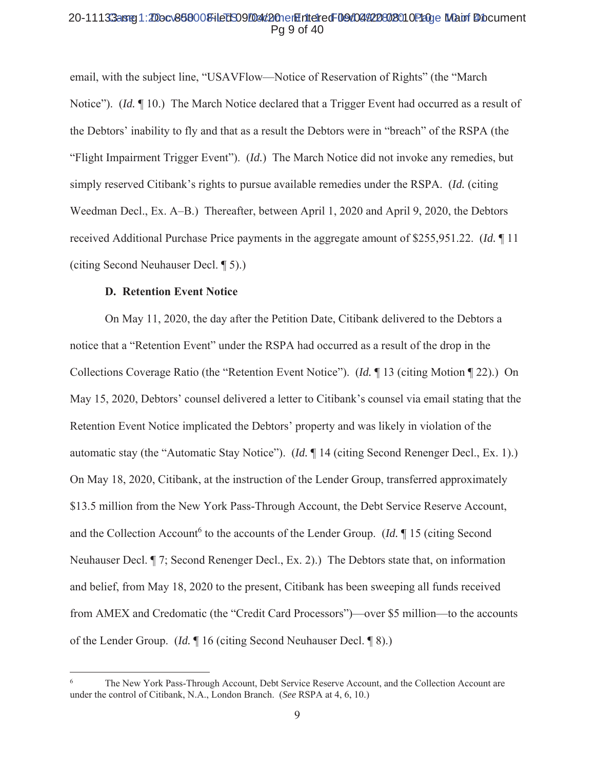#### 20-11133aster1:2Docv868008-iledS09/Dav/20nerEriteiredF09/04/20802010P20ue Mauri Diocument Pg 9 of 40

email, with the subject line, "USAVFlow—Notice of Reservation of Rights" (the "March" Notice"). *(Id.* 10.) The March Notice declared that a Trigger Event had occurred as a result of the Debtors' inability to fly and that as a result the Debtors were in "breach" of the RSPA (the "Flight Impairment Trigger Event"). (Id.) The March Notice did not invoke any remedies, but simply reserved Citibank's rights to pursue available remedies under the RSPA. *(Id. (citing)* Weedman Decl., Ex. A–B.) Thereafter, between April 1, 2020 and April 9, 2020, the Debtors received Additional Purchase Price payments in the aggregate amount of \$255,951.22. (*Id.* 11 (citing Second Neuhauser Decl. 15).)

#### **D.** Retention Event Notice

On May 11, 2020, the day after the Petition Date, Citibank delivered to the Debtors a notice that a "Retention Event" under the RSPA had occurred as a result of the drop in the Collections Coverage Ratio (the "Retention Event Notice"). (*Id.*  $\P$  13 (citing Motion  $\P$  22).) On May 15, 2020, Debtors' counsel delivered a letter to Citibank's counsel via email stating that the Retention Event Notice implicated the Debtors' property and was likely in violation of the automatic stay (the "Automatic Stay Notice"). (Id. ¶ 14 (citing Second Renenger Decl., Ex. 1).) On May 18, 2020, Citibank, at the instruction of the Lender Group, transferred approximately \$13.5 million from the New York Pass-Through Account, the Debt Service Reserve Account, and the Collection Account<sup>6</sup> to the accounts of the Lender Group. (*Id.*  $\parallel$  15 (citing Second Neuhauser Decl. ¶ 7; Second Renenger Decl., Ex. 2).) The Debtors state that, on information and belief, from May 18, 2020 to the present, Citibank has been sweeping all funds received from AMEX and Credomatic (the "Credit Card Processors")—over \$5 million—to the accounts of the Lender Group. (*Id.*  $\parallel$  16 (citing Second Neuhauser Decl.  $\parallel$  8).)

The New York Pass-Through Account, Debt Service Reserve Account, and the Collection Account are under the control of Citibank, N.A., London Branch. (See RSPA at 4, 6, 10.)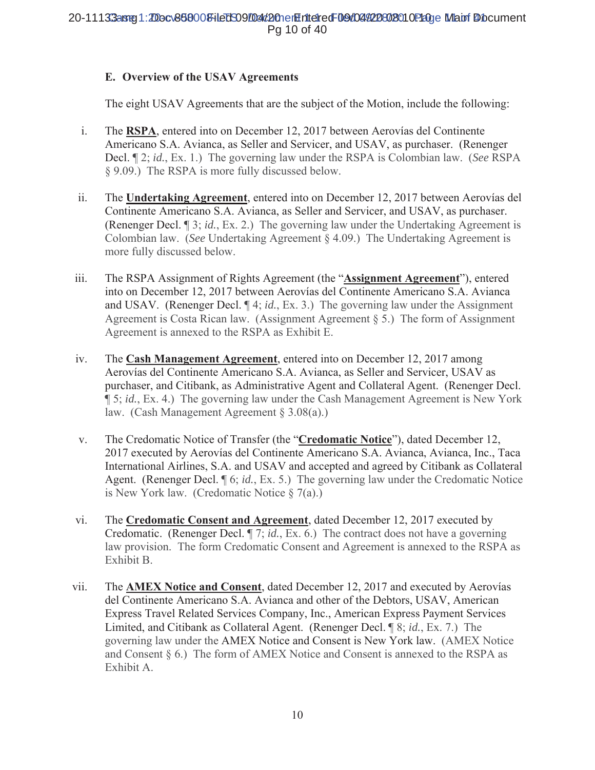# E. Overview of the USAV Agreements

The eight USAV Agreements that are the subject of the Motion, include the following:

- $\mathbf{i}$ . The RSPA, entered into on December 12, 2017 between Aerovias del Continente Americano S.A. Avianca, as Seller and Servicer, and USAV, as purchaser. (Renenger Decl. 12; id., Ex. 1.) The governing law under the RSPA is Colombian law. (See RSPA § 9.09.) The RSPA is more fully discussed below.
- The Undertaking Agreement, entered into on December 12, 2017 between Aerovías del ii. Continente Americano S.A. Avianca, as Seller and Servicer, and USAV, as purchaser. (Renenger Decl.  $\mathbb{I}$  3; *id.*, Ex. 2.) The governing law under the Undertaking Agreement is Colombian law. (See Undertaking Agreement  $\S$  4.09.) The Undertaking Agreement is more fully discussed below.
- The RSPA Assignment of Rights Agreement (the "Assignment Agreement"), entered iii. into on December 12, 2017 between Aerovías del Continente Americano S.A. Avianca and USAV. (Renenger Decl. ¶ 4; *id.*, Ex. 3.) The governing law under the Assignment Agreement is Costa Rican law. (Assignment Agreement  $\S$  5.) The form of Assignment Agreement is annexed to the RSPA as Exhibit E.
- The Cash Management Agreement, entered into on December 12, 2017 among iv. Aerovías del Continente Americano S.A. Avianca, as Seller and Servicer, USAV as purchaser, and Citibank, as Administrative Agent and Collateral Agent. (Renenger Decl. 15; id., Ex. 4.) The governing law under the Cash Management Agreement is New York law. (Cash Management Agreement  $\S 3.08(a)$ .)
- The Credomatic Notice of Transfer (the "Credomatic Notice"), dated December 12, V. 2017 executed by Aerovías del Continente Americano S.A. Avianca, Avianca, Inc., Taca International Airlines, S.A. and USAV and accepted and agreed by Citibank as Collateral Agent. (Renenger Decl. ¶ 6; id., Ex. 5.) The governing law under the Credomatic Notice is New York law. (Credomatic Notice  $\S$  7(a).)
- The Credomatic Consent and Agreement, dated December 12, 2017 executed by vi. Credomatic. (Renenger Decl.  $\P$  7; id., Ex. 6.) The contract does not have a governing law provision. The form Credomatic Consent and Agreement is annexed to the RSPA as Exhibit B.
- vii. The AMEX Notice and Consent, dated December 12, 2017 and executed by Aerovias del Continente Americano S.A. Avianca and other of the Debtors, USAV, American Express Travel Related Services Company, Inc., American Express Payment Services Limited, and Citibank as Collateral Agent. (Renenger Decl. ¶ 8; id., Ex. 7.) The governing law under the AMEX Notice and Consent is New York law. (AMEX Notice and Consent § 6.) The form of AMEX Notice and Consent is annexed to the RSPA as Exhibit A.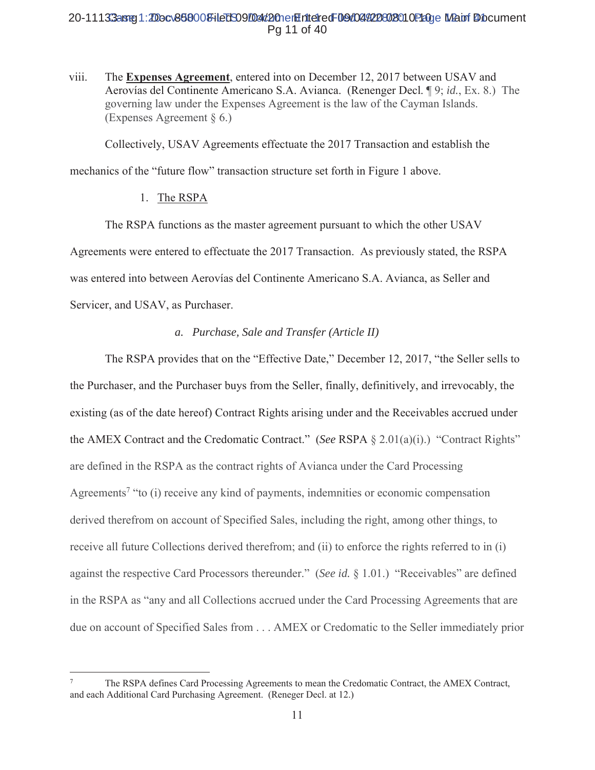# 20-11133arg1:20ocv868008-iled 509/04d20nen Entered F09/04/220802010 Page Main Document Pg 11 of 40

viii. The **Expenses Agreement**, entered into on December 12, 2017 between USAV and Aerovías del Continente Americano S.A. Avianca. (Renenger Decl. ¶ 9; id., Ex. 8.) The governing law under the Expenses Agreement is the law of the Cayman Islands. (Expenses Agreement  $\S$  6.)

Collectively, USAV Agreements effectuate the 2017 Transaction and establish the

mechanics of the "future flow" transaction structure set forth in Figure 1 above.

## 1. The RSPA

The RSPA functions as the master agreement pursuant to which the other USAV Agreements were entered to effectuate the 2017 Transaction. As previously stated, the RSPA was entered into between Aerovías del Continente Americano S.A. Avianca, as Seller and Servicer, and USAV, as Purchaser.

# *a. Purchase, Sale and Transfer (Article II)*

The RSPA provides that on the "Effective Date," December 12, 2017, "the Seller sells to the Purchaser, and the Purchaser buys from the Seller, finally, definitively, and irrevocably, the existing (as of the date hereof) Contract Rights arising under and the Receivables accrued under the AMEX Contract and the Credomatic Contract." (See RSPA  $\S$  2.01(a)(i).) "Contract Rights" are defined in the RSPA as the contract rights of Avianca under the Card Processing Agreements<sup>7</sup> "to (i) receive any kind of payments, indemnities or economic compensation derived therefrom on account of Specified Sales, including the right, among other things, to receive all future Collections derived therefrom; and (ii) to enforce the rights referred to in (i) against the respective Card Processors thereunder." (See id. § 1.01.) "Receivables" are defined in the RSPA as "any and all Collections accrued under the Card Processing Agreements that are due on account of Specified Sales from . . . AMEX or Credomatic to the Seller immediately prior

<sup>7</sup> The RSPA defines Card Processing Agreements to mean the Credomatic Contract, the AMEX Contract, and each Additional Card Purchasing Agreement. (Reneger Decl. at 12.)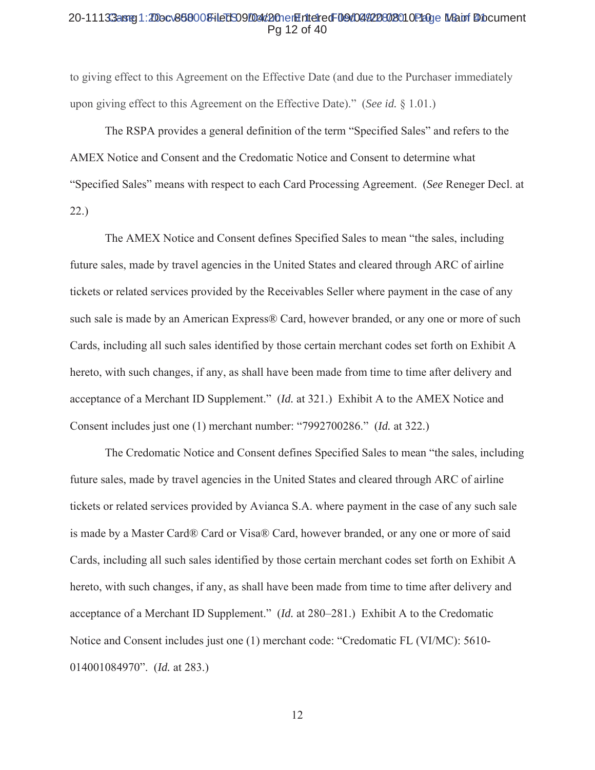#### 20-11133arrej1:200cv868008+ledS09004d20nerhitetredF09d044228028010P200e MBauf Diocument Pa 12 of 40

to giving effect to this Agreement on the Effective Date (and due to the Purchaser immediately upon giving effect to this Agreement on the Effective Date)." (See id.  $\S$  1.01.)

The RSPA provides a general definition of the term "Specified Sales" and refers to the AMEX Notice and Consent and the Credomatic Notice and Consent to determine what "Specified Sales" means with respect to each Card Processing Agreement. (See Reneger Decl. at  $22.)$ 

The AMEX Notice and Consent defines Specified Sales to mean "the sales, including future sales, made by travel agencies in the United States and cleared through ARC of airline tickets or related services provided by the Receivables Seller where payment in the case of any such sale is made by an American Express® Card, however branded, or any one or more of such Cards, including all such sales identified by those certain merchant codes set forth on Exhibit A hereto, with such changes, if any, as shall have been made from time to time after delivery and acceptance of a Merchant ID Supplement." (*Id.* at 321.) Exhibit A to the AMEX Notice and Consent includes just one (1) merchant number: "7992700286." (Id. at 322.)

The Credomatic Notice and Consent defines Specified Sales to mean "the sales, including future sales, made by travel agencies in the United States and cleared through ARC of airline tickets or related services provided by Avianca S.A. where payment in the case of any such sale is made by a Master Card® Card or Visa® Card, however branded, or any one or more of said Cards, including all such sales identified by those certain merchant codes set forth on Exhibit A hereto, with such changes, if any, as shall have been made from time to time after delivery and acceptance of a Merchant ID Supplement." (Id. at 280–281.) Exhibit A to the Credomatic Notice and Consent includes just one (1) merchant code: "Credomatic FL (VI/MC): 5610-014001084970". (*Id.* at 283.)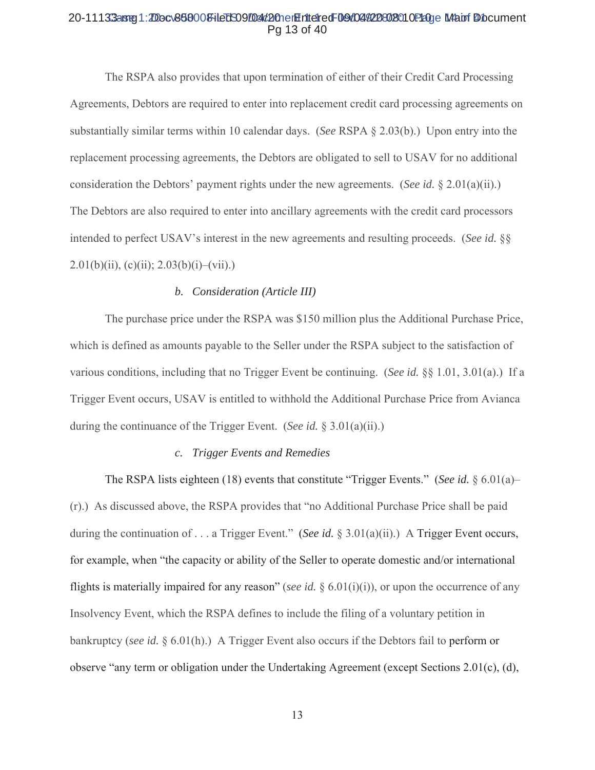#### 20-11133arg1:20ocv868008-iled 509/04d20nen Entered F09/04/220802010 Page Main f Document Pg 13 of 40

The RSPA also provides that upon termination of either of their Credit Card Processing Agreements, Debtors are required to enter into replacement credit card processing agreements on substantially similar terms within 10 calendar days. (See RSPA  $\S$  2.03(b).) Upon entry into the replacement processing agreements, the Debtors are obligated to sell to USAV for no additional consideration the Debtors' payment rights under the new agreements. (See id.  $\S 2.01(a)(ii)$ .) The Debtors are also required to enter into ancillary agreements with the credit card processors intended to perfect USAV's interest in the new agreements and resulting proceeds. (See id.  $\S$ )  $2.01(b)(ii)$ , (c)(ii);  $2.03(b)(i)$ –(vii).)

## *b. Consideration (Article III)*

The purchase price under the RSPA was \$150 million plus the Additional Purchase Price, which is defined as amounts payable to the Seller under the RSPA subject to the satisfaction of various conditions, including that no Trigger Event be continuing. (See id.  $\S$  1.01, 3.01(a).) If a Trigger Event occurs, USAV is entitled to withhold the Additional Purchase Price from Avianca during the continuance of the Trigger Event. (See id.  $\S$  3.01(a)(ii).)

#### *c. Trigger Events and Remedies*

The RSPA lists eighteen (18) events that constitute "Trigger Events." (See id.  $\S 6.01(a)$ - $(r)$ ) As discussed above, the RSPA provides that "no Additional Purchase Price shall be paid during the continuation of  $\ldots$  a Trigger Event." (See id. § 3.01(a)(ii).) A Trigger Event occurs, for example, when "the capacity or ability of the Seller to operate domestic and/or international flights is materially impaired for any reason" (see id.  $\S$  6.01(i)(i)), or upon the occurrence of any Insolvency Event, which the RSPA defines to include the filing of a voluntary petition in bankruptcy (see id.  $\S 6.01(h)$ ) A Trigger Event also occurs if the Debtors fail to perform or observe "any term or obligation under the Undertaking Agreement (except Sections 2.01 $(c)$ ,  $(d)$ ,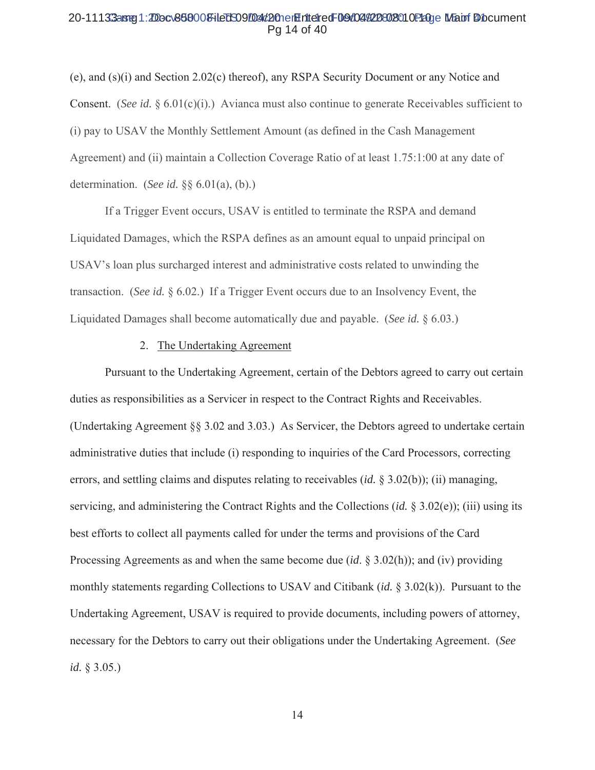#### 20-11133arg1:20ocv868008-iled 509/04d20nen Entered F09/04/220802010 Page Main Document Pg 14 of 40

(e), and (s)(i) and Section 2.02(c) thereof), any RSPA Security Document or any Notice and Consent. (See id.  $\S 6.01(c)(i)$ .) Avianca must also continue to generate Receivables sufficient to (i) pay to USAV the Monthly Settlement Amount (as defined in the Cash Management Agreement) and (ii) maintain a Collection Coverage Ratio of at least 1.75:1:00 at any date of determination. (See id.  $\S$ § 6.01(a), (b).)

If a Trigger Event occurs, USAV is entitled to terminate the RSPA and demand Liquidated Damages, which the RSPA defines as an amount equal to unpaid principal on USAV's loan plus surcharged interest and administrative costs related to unwinding the transaction. (See id.  $\S$  6.02.) If a Trigger Event occurs due to an Insolvency Event, the Liquidated Damages shall become automatically due and payable. (See id. § 6.03.)

#### 2. The Undertaking Agreement

Pursuant to the Undertaking Agreement, certain of the Debtors agreed to carry out certain duties as responsibilities as a Servicer in respect to the Contract Rights and Receivables. (Undertaking Agreement  $\S$ § 3.02 and 3.03.) As Servicer, the Debtors agreed to undertake certain administrative duties that include (i) responding to inquiries of the Card Processors, correcting errors, and settling claims and disputes relating to receivables *(id.*  $\S$  3.02(b)); *(ii)* managing, servicing, and administering the Contract Rights and the Collections (*id.*  $\S$  3.02(e)); (iii) using its best efforts to collect all payments called for under the terms and provisions of the Card Processing Agreements as and when the same become due  $(id. \S 3.02(h))$ ; and (iv) providing monthly statements regarding Collections to USAV and Citibank (id. § 3.02(k)). Pursuant to the Undertaking Agreement, USAV is required to provide documents, including powers of attorney, necessary for the Debtors to carry out their obligations under the Undertaking Agreement. (See *id.* § 3.05.)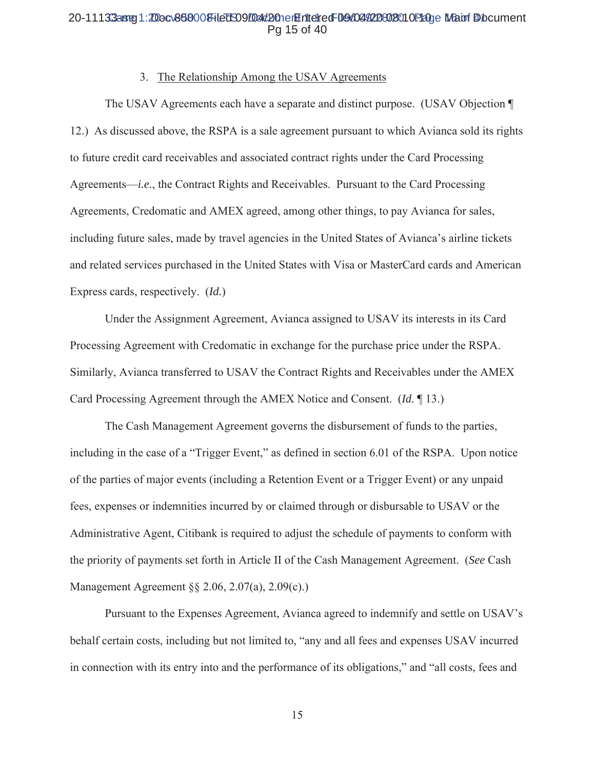## 20-11133aster1:200cv868008+ledS09004d20netEritetredF09d044228028010P200e Mauri Diocument Pq 15 of 40

#### 3. The Relationship Among the USAV Agreements

The USAV Agreements each have a separate and distinct purpose. (USAV Objection ¶ 12.) As discussed above, the RSPA is a sale agreement pursuant to which Avianca sold its rights to future credit card receivables and associated contract rights under the Card Processing Agreements—*i.e.*, the Contract Rights and Receivables. Pursuant to the Card Processing Agreements, Credomatic and AMEX agreed, among other things, to pay Avianca for sales, including future sales, made by travel agencies in the United States of Avianca's airline tickets and related services purchased in the United States with Visa or MasterCard cards and American Express cards, respectively. (Id.)

Under the Assignment Agreement, Avianca assigned to USAV its interests in its Card Processing Agreement with Credomatic in exchange for the purchase price under the RSPA. Similarly, Avianca transferred to USAV the Contract Rights and Receivables under the AMEX Card Processing Agreement through the AMEX Notice and Consent.  $(Id. \P 13.)$ 

The Cash Management Agreement governs the disbursement of funds to the parties, including in the case of a "Trigger Event," as defined in section 6.01 of the RSPA. Upon notice of the parties of major events (including a Retention Event or a Trigger Event) or any unpaid fees, expenses or indemnities incurred by or claimed through or disbursable to USAV or the Administrative Agent, Citibank is required to adjust the schedule of payments to conform with the priority of payments set forth in Article II of the Cash Management Agreement. (See Cash Management Agreement  $\S$ § 2.06, 2.07(a), 2.09(c).)

Pursuant to the Expenses Agreement, Avianca agreed to indemnify and settle on USAV's behalf certain costs, including but not limited to, "any and all fees and expenses USAV incurred in connection with its entry into and the performance of its obligations," and "all costs, fees and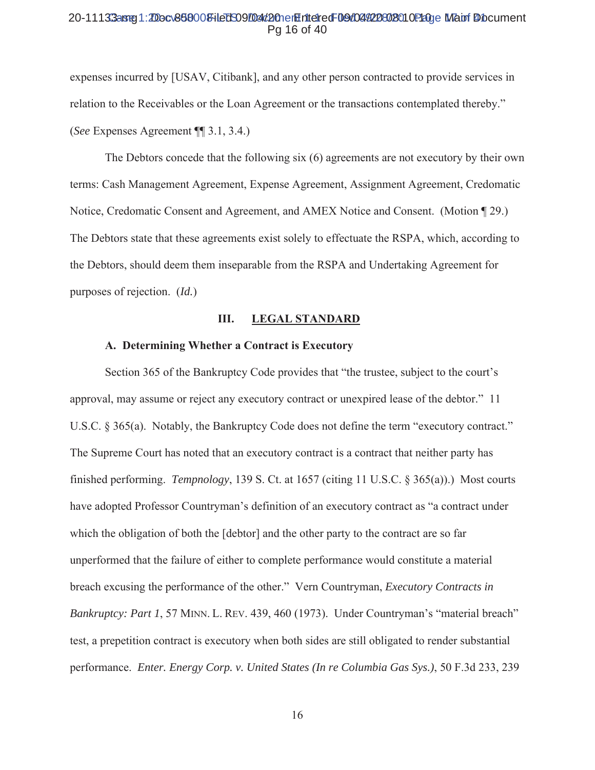#### 20-11133aster1:2Docv868008HeDSO9D4d2OnerHriteredF09d04422802010P20ge Matri Diocument Pa 16 of 40

expenses incurred by [USAV, Citibank], and any other person contracted to provide services in relation to the Receivables or the Loan Agreement or the transactions contemplated thereby." (See Expenses Agreement  $\P$  3.1, 3.4.)

The Debtors concede that the following six (6) agreements are not executory by their own terms: Cash Management Agreement, Expense Agreement, Assignment Agreement, Credomatic Notice, Credomatic Consent and Agreement, and AMEX Notice and Consent. (Motion ¶ 29.) The Debtors state that these agreements exist solely to effectuate the RSPA, which, according to the Debtors, should deem them inseparable from the RSPA and Undertaking Agreement for purposes of rejection.  $(Id.)$ 

#### Ш. **LEGAL STANDARD**

#### A. Determining Whether a Contract is Executory

Section 365 of the Bankruptcy Code provides that "the trustee, subject to the court's approval, may assume or reject any executory contract or unexpired lease of the debtor." 11 U.S.C. § 365(a). Notably, the Bankruptcy Code does not define the term "executory contract." The Supreme Court has noted that an executory contract is a contract that neither party has finished performing. *Tempnology*, 139 S. Ct. at  $1657$  (citing 11 U.S.C. § 365(a)).) Most courts have adopted Professor Countryman's definition of an executory contract as "a contract under which the obligation of both the [debtor] and the other party to the contract are so far unperformed that the failure of either to complete performance would constitute a material breach excusing the performance of the other." Vern Countryman, *Executory Contracts in* Bankruptcy: Part 1, 57 MINN. L. REV. 439, 460 (1973). Under Countryman's "material breach" test, a prepetition contract is executory when both sides are still obligated to render substantial performance. *Enter. Energy Corp. v. United States (In re Columbia Gas Sys.)*, 50 F.3d 233, 239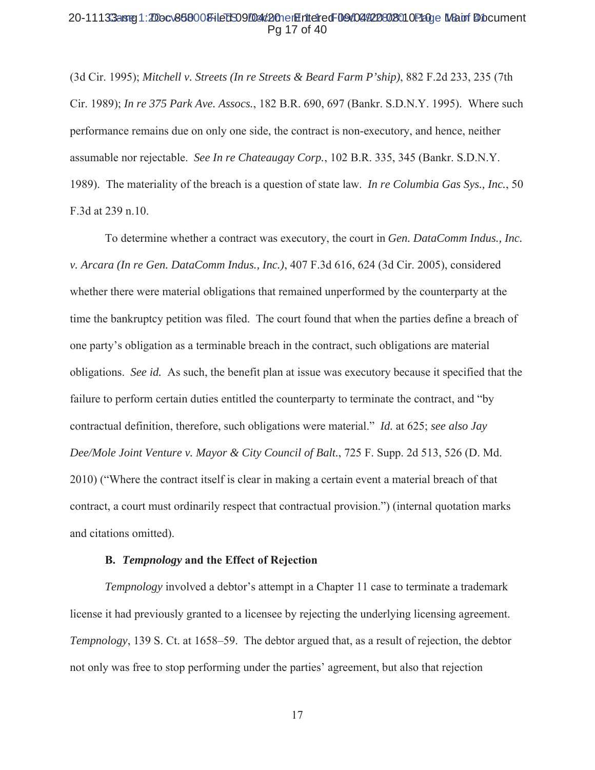#### 20-11133arg1:20ocv868008-iled 509/04d20nen Entered F09/04/220802010 Page Main Document Pg 17 of 40

 $(3d$  Cir. 1995); Mitchell v. Streets (In re Streets & Beard Farm P'ship), 882 F.2d 233, 235 (7th Cir. 1989); *In re 375 Park Ave. Assocs.*, 182 B.R. 690, 697 (Bankr. S.D.N.Y. 1995). Where such performance remains due on only one side, the contract is non-executory, and hence, neither assumable nor rejectable. See In re Chateaugay Corp., 102 B.R. 335, 345 (Bankr. S.D.N.Y.) 1989). The materiality of the breach is a question of state law. In re Columbia Gas Sys., Inc., 50 F.3d at 239 n.10.

To determine whether a contract was executory, the court in Gen. DataComm Indus., Inc. *v. Arcara (In re Gen. DataComm Indus., Inc.),* 407 F.3d 616, 624 (3d Cir. 2005), considered whether there were material obligations that remained unperformed by the counterparty at the time the bankruptcy petition was filed. The court found that when the parties define a breach of one party's obligation as a terminable breach in the contract, such obligations are material obligations. See id. As such, the benefit plan at issue was executory because it specified that the failure to perform certain duties entitled the counterparty to terminate the contract, and "by contractual definition, therefore, such obligations were material." *Id.* at 625; see also Jay *Dee/Mole Joint Venture v. Mayor & City Council of Balt.*, 725 F. Supp. 2d 513, 526 (D. Md.) 2010) ("Where the contract itself is clear in making a certain event a material breach of that contract, a court must ordinarily respect that contractual provision.") (internal quotation marks and citations omitted).

#### **B.** *Tempnology* and the Effect of Rejection

*Tempnology* involved a debtor's attempt in a Chapter 11 case to terminate a trademark license it had previously granted to a licensee by rejecting the underlying licensing agreement. *Tempnology*, 139 S. Ct. at 1658–59. The debtor argued that, as a result of rejection, the debtor not only was free to stop performing under the parties' agreement, but also that rejection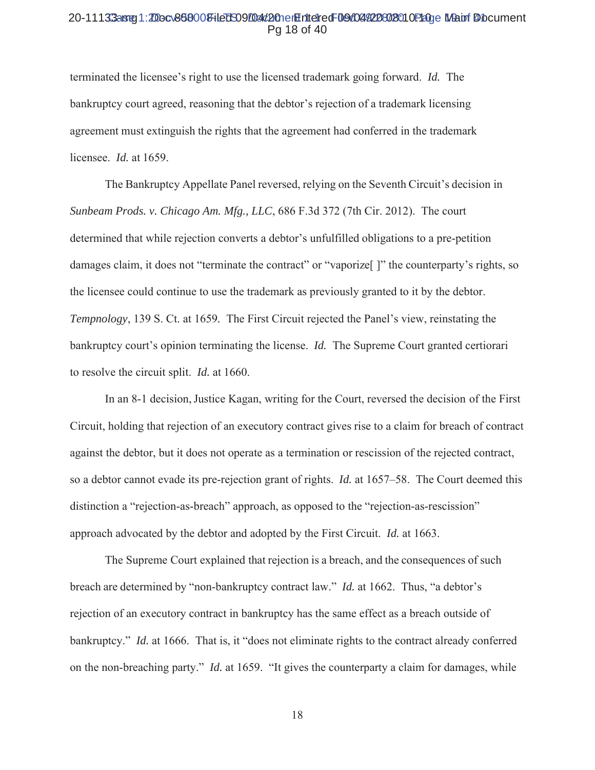#### 20-11133arg1:20ocv868008-iled 509/04d20nen Entered F09/04/220802010 Page Main f Document Pg 18 of 40

terminated the licensee's right to use the licensed trademark going forward. *Id.* The bankruptcy court agreed, reasoning that the debtor's rejection of a trademark licensing agreement must extinguish the rights that the agreement had conferred in the trademark licensee. *Id.* at 1659.

The Bankruptcy Appellate Panel reversed, relying on the Seventh Circuit's decision in *Sunbeam Prods. v. Chicago Am. Mfg., LLC*, 686 F.3d 372 (7th Cir. 2012). The court determined that while rejection converts a debtor's unfulfilled obligations to a pre-petition damages claim, it does not "terminate the contract" or "vaporize "|" the counterparty's rights, so the licensee could continue to use the trademark as previously granted to it by the debtor. *Tempnology*, 139 S. Ct. at 1659. The First Circuit rejected the Panel's view, reinstating the bankruptcy court's opinion terminating the license. *Id.* The Supreme Court granted certiorari to resolve the circuit split. *Id.* at 1660.

In an 8-1 decision, Justice Kagan, writing for the Court, reversed the decision of the First Circuit, holding that rejection of an executory contract gives rise to a claim for breach of contract against the debtor, but it does not operate as a termination or rescission of the rejected contract, so a debtor cannot evade its pre-rejection grant of rights. *Id.* at 1657–58. The Court deemed this distinction a "rejection-as-breach" approach, as opposed to the "rejection-as-rescission" approach advocated by the debtor and adopted by the First Circuit. *Id.* at 1663.

The Supreme Court explained that rejection is a breach, and the consequences of such breach are determined by "non-bankruptcy contract law." *Id.* at 1662. Thus, "a debtor's rejection of an executory contract in bankruptcy has the same effect as a breach outside of bankruptcy." *Id.* at 1666. That is, it "does not eliminate rights to the contract already conferred on the non-breaching party." *Id.* at 1659. "It gives the counterparty a claim for damages, while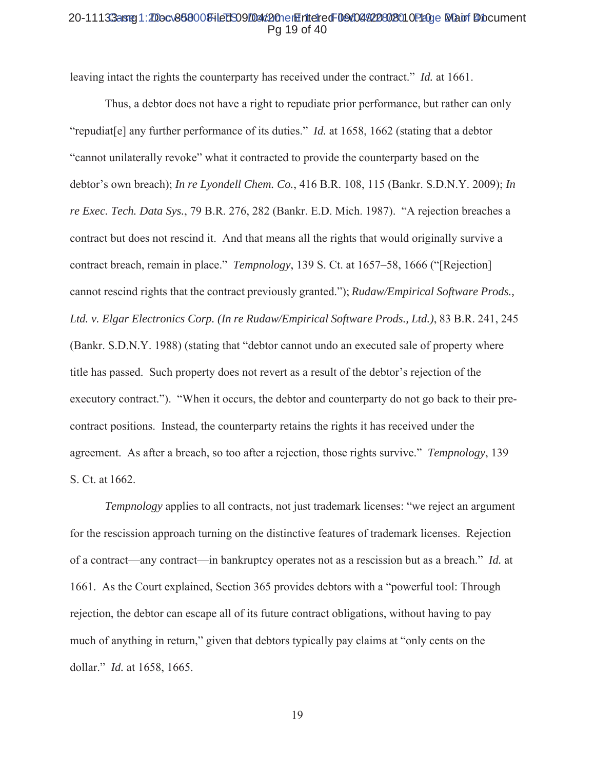#### 20-11133aster1:2Docv868008+ledS09/D4d2OnerHriteredF09/04/20802010P20ge Mapri Diocument Pq 19 of 40

leaving intact the rights the counterparty has received under the contract." *Id.* at 1661.

Thus, a debtor does not have a right to repudiate prior performance, but rather can only "repudiatell any further performance of its duties." *Id.* at 1658, 1662 (stating that a debtor "cannot unilaterally revoke" what it contracted to provide the counterparty based on the debtor's own breach); In re Lyondell Chem. Co., 416 B.R. 108, 115 (Bankr. S.D.N.Y. 2009); In re Exec. Tech. Data Sys., 79 B.R. 276, 282 (Bankr. E.D. Mich. 1987). "A rejection breaches a contract but does not rescind it. And that means all the rights that would originally survive a contract breach, remain in place." *Tempnology*, 139 S. Ct. at 1657–58, 1666 ("[Rejection] cannot rescind rights that the contract previously granted."); Rudaw/Empirical Software Prods., Ltd. v. Elgar Electronics Corp. (In re Rudaw/Empirical Software Prods., Ltd.), 83 B.R. 241, 245 (Bankr. S.D.N.Y. 1988) (stating that "debtor cannot undo an executed sale of property where title has passed. Such property does not revert as a result of the debtor's rejection of the executory contract."). "When it occurs, the debtor and counterparty do not go back to their precontract positions. Instead, the counterparty retains the rights it has received under the agreement. As after a breach, so too after a rejection, those rights survive." Tempnology, 139 S. Ct. at 1662.

*Tempnology* applies to all contracts, not just trademark licenses: "we reject an argument for the rescission approach turning on the distinctive features of trademark licenses. Rejection of a contract—any contract—in bankruptcy operates not as a rescission but as a breach." Id. at 1661. As the Court explained, Section 365 provides debtors with a "powerful tool: Through rejection, the debtor can escape all of its future contract obligations, without having to pay much of anything in return," given that debtors typically pay claims at "only cents on the dollar." *Id.* at 1658, 1665.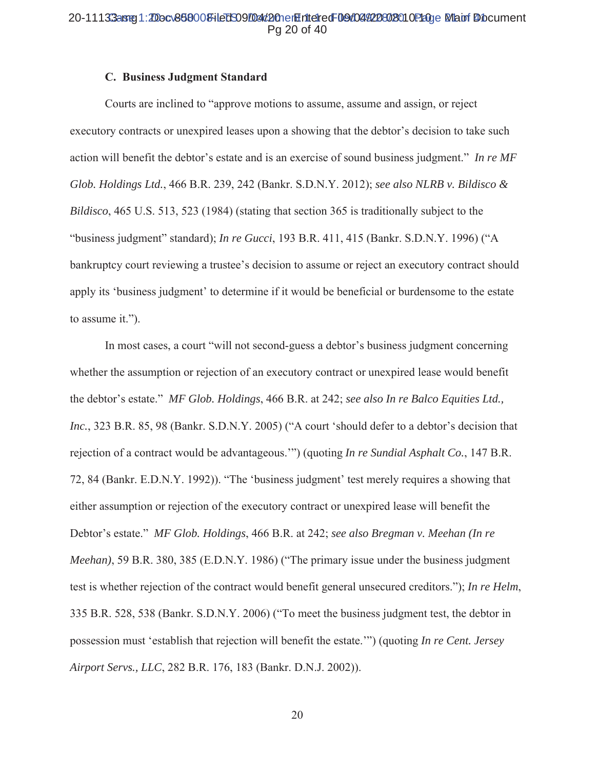## 20-11133aster1:2Docv868008HeDSO9Dad2OnerHriteredF09d04922802010P20ge Matri Diocument Pg 20 of 40

#### **C. Business Judgment Standard**

Courts are inclined to "approve motions to assume, assume and assign, or reject executory contracts or unexpired leases upon a showing that the debtor's decision to take such action will benefit the debtor's estate and is an exercise of sound business judgment." In re MF Glob. Holdings Ltd., 466 B.R. 239, 242 (Bankr. S.D.N.Y. 2012); see also NLRB v. Bildisco & *Bildisco*, 465 U.S. 513, 523 (1984) (stating that section 365 is traditionally subject to the "business judgment" standard); *In re Gucci*, 193 B.R. 411, 415 (Bankr. S.D.N.Y. 1996) ("A bankruptcy court reviewing a trustee's decision to assume or reject an executory contract should apply its 'business judgment' to determine if it would be beneficial or burdensome to the estate to assume it.").

In most cases, a court "will not second-guess a debtor's business judgment concerning whether the assumption or rejection of an executory contract or unexpired lease would benefit the debtor's estate." MF Glob. Holdings, 466 B.R. at 242; see also In re Balco Equities Ltd., Inc., 323 B.R. 85, 98 (Bankr. S.D.N.Y. 2005) ("A court 'should defer to a debtor's decision that rejection of a contract would be advantageous."") (quoting In re Sundial Asphalt Co., 147 B.R. 72, 84 (Bankr. E.D.N.Y. 1992)). "The 'business judgment' test merely requires a showing that either assumption or rejection of the executory contract or unexpired lease will benefit the Debtor's estate." MF Glob. Holdings, 466 B.R. at 242; see also Bregman v. Meehan (In re *Meehan*), 59 B.R. 380, 385 (E.D.N.Y. 1986) ("The primary issue under the business judgment test is whether rejection of the contract would benefit general unsecured creditors."); In re Helm, 335 B.R. 528, 538 (Bankr. S.D.N.Y. 2006) ("To meet the business judgment test, the debtor in possession must 'establish that rejection will benefit the estate."") (quoting In re Cent. Jersey Airport Servs., LLC, 282 B.R. 176, 183 (Bankr. D.N.J. 2002)).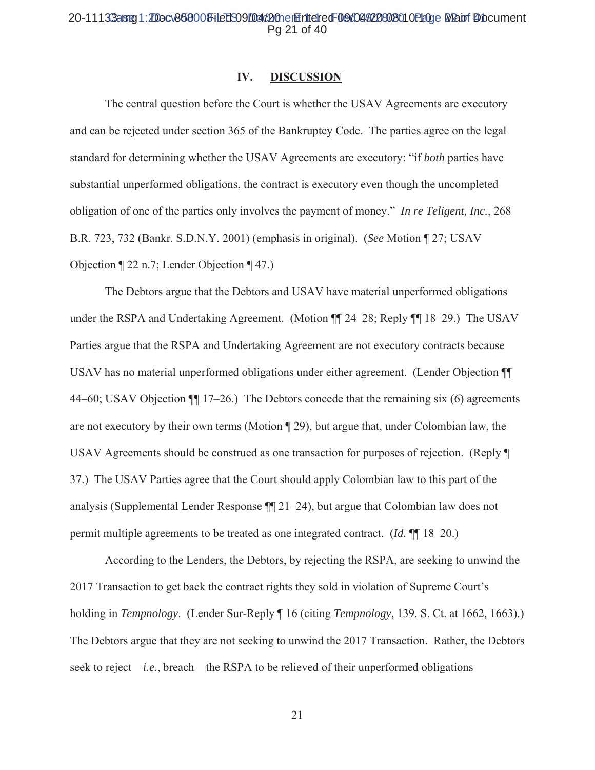## 20-11133aster1:2Docv868008HeDSO9D4d2OnerHriteredF09d04422802010P20ge Man Diocument Pg 21 of 40

#### IV. **DISCUSSION**

The central question before the Court is whether the USAV Agreements are executory and can be rejected under section 365 of the Bankruptcy Code. The parties agree on the legal standard for determining whether the USAV Agreements are executory: "if both parties have substantial unperformed obligations, the contract is executory even though the uncompleted obligation of one of the parties only involves the payment of money." In re Teligent, Inc., 268 B.R. 723, 732 (Bankr. S.D.N.Y. 2001) (emphasis in original). (See Motion ¶ 27; USAV Objection  $\P$  22 n.7; Lender Objection  $\P$  47.)

The Debtors argue that the Debtors and USAV have material unperformed obligations under the RSPA and Undertaking Agreement. (Motion ¶ 24–28; Reply ¶ 18–29.) The USAV Parties argue that the RSPA and Undertaking Agreement are not executory contracts because USAV has no material unperformed obligations under either agreement. (Lender Objection ¶ 44–60; USAV Objection  $\P$  17–26.) The Debtors concede that the remaining six (6) agreements are not executory by their own terms (Motion  $\P$  29), but argue that, under Colombian law, the USAV Agreements should be construed as one transaction for purposes of rejection. (Reply  $\P$ 37.) The USAV Parties agree that the Court should apply Colombian law to this part of the analysis (Supplemental Lender Response  $\P$  21–24), but argue that Colombian law does not permit multiple agreements to be treated as one integrated contract. (*Id.*  $\P$  18–20.)

According to the Lenders, the Debtors, by rejecting the RSPA, are seeking to unwind the 2017 Transaction to get back the contract rights they sold in violation of Supreme Court's holding in *Tempnology*. (Lender Sur-Reply 16 (citing *Tempnology*, 139. S. Ct. at 1662, 1663).) The Debtors argue that they are not seeking to unwind the 2017 Transaction. Rather, the Debtors seek to reject—*i.e.*, breach—the RSPA to be relieved of their unperformed obligations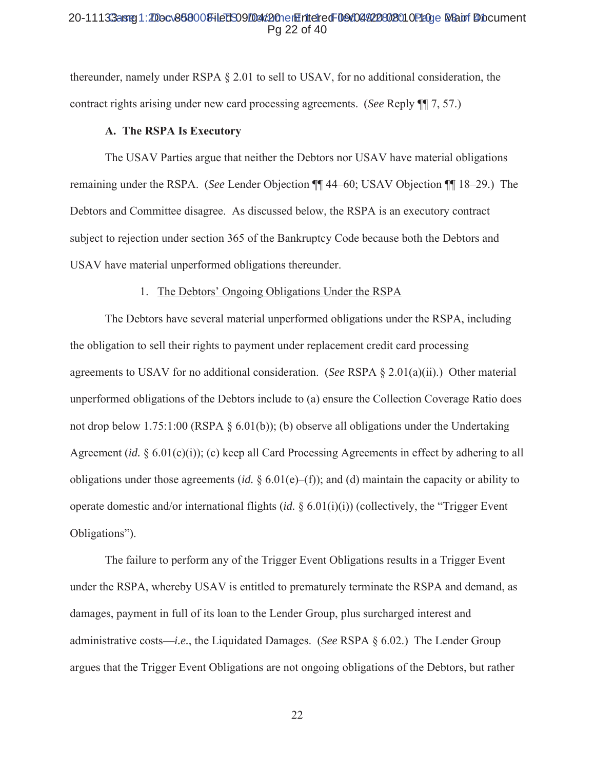#### 20-11133aster1:2Docv868008+ledS09/D4d2OnerHriteredF09/04/20802010P20ge Mapri Diocument Pa 22 of 40

thereunder, namely under RSPA § 2.01 to sell to USAV, for no additional consideration, the contract rights arising under new card processing agreements. (See Reply ¶ 7, 57.)

#### A. The RSPA Is Executory

The USAV Parties argue that neither the Debtors nor USAV have material obligations remaining under the RSPA. (See Lender Objection  $\P\P$  44–60; USAV Objection  $\P\P$  18–29.) The Debtors and Committee disagree. As discussed below, the RSPA is an executory contract subject to rejection under section 365 of the Bankruptcy Code because both the Debtors and USAV have material unperformed obligations thereunder.

#### 1. The Debtors' Ongoing Obligations Under the RSPA

The Debtors have several material unperformed obligations under the RSPA, including the obligation to sell their rights to payment under replacement credit card processing agreements to USAV for no additional consideration. (See RSPA  $\S$  2.01(a)(ii).) Other material unperformed obligations of the Debtors include to (a) ensure the Collection Coverage Ratio does not drop below 1.75:1:00 (RSPA  $\S$  6.01(b)); (b) observe all obligations under the Undertaking Agreement (id.  $\S 6.01(c)(i)$ ); (c) keep all Card Processing Agreements in effect by adhering to all obligations under those agreements (id.  $\S 6.01(e)$ ); and (d) maintain the capacity or ability to operate domestic and/or international flights  $(id. \S 6.01(i)(i))$  (collectively, the "Trigger Event" Obligations").

The failure to perform any of the Trigger Event Obligations results in a Trigger Event under the RSPA, whereby USAV is entitled to prematurely terminate the RSPA and demand, as damages, payment in full of its loan to the Lender Group, plus surcharged interest and administrative costs—*i.e.*, the Liquidated Damages. (See RSPA  $\S$  6.02.) The Lender Group argues that the Trigger Event Obligations are not ongoing obligations of the Debtors, but rather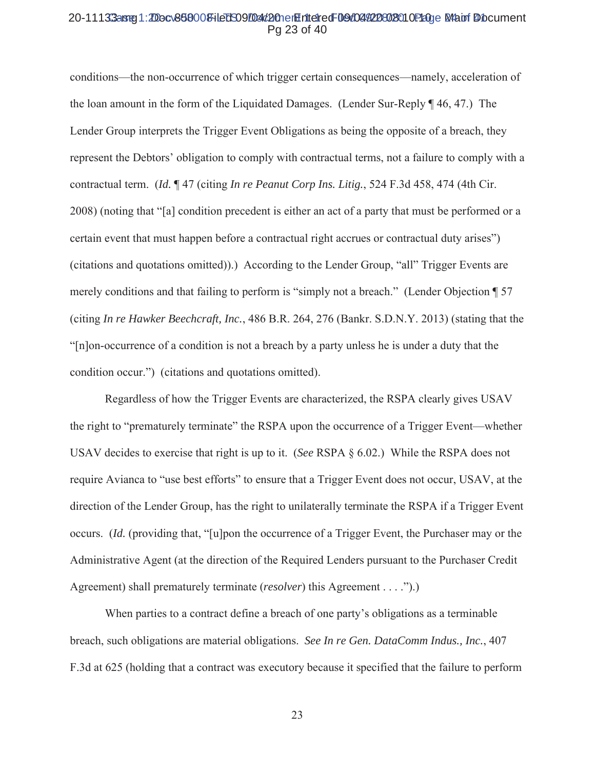#### 20-11133aster1:2Docv868008+ledS09/D4d2OnerHriteredF09/04/20802010P20ge M4atrf Diocument Pa 23 of 40

conditions—the non-occurrence of which trigger certain consequences—namely, acceleration of the loan amount in the form of the Liquidated Damages. (Lender Sur-Reply ¶ 46, 47.) The Lender Group interprets the Trigger Event Obligations as being the opposite of a breach, they represent the Debtors' obligation to comply with contractual terms, not a failure to comply with a contractual term. (Id. 147 (citing In re Peanut Corp Ins. Litig., 524 F.3d 458, 474 (4th Cir. 2008) (noting that "[a] condition precedent is either an act of a party that must be performed or a certain event that must happen before a contractual right accrues or contractual duty arises") (citations and quotations omitted)).) According to the Lender Group, "all" Trigger Events are merely conditions and that failing to perform is "simply not a breach." (Lender Objection 157 (citing In re Hawker Beechcraft, Inc., 486 B.R. 264, 276 (Bankr. S.D.N.Y. 2013) (stating that the "[n] on-occurrence of a condition is not a breach by a party unless he is under a duty that the condition occur.") (citations and quotations omitted).

Regardless of how the Trigger Events are characterized, the RSPA clearly gives USAV the right to "prematurely terminate" the RSPA upon the occurrence of a Trigger Event—whether USAV decides to exercise that right is up to it. (See RSPA  $\S 6.02$ .) While the RSPA does not require Avianca to "use best efforts" to ensure that a Trigger Event does not occur, USAV, at the direction of the Lender Group, has the right to unilaterally terminate the RSPA if a Trigger Event occurs. *(Id. (providing that, "*[u]pon the occurrence of a Trigger Event, the Purchaser may or the Administrative Agent (at the direction of the Required Lenders pursuant to the Purchaser Credit Agreement) shall prematurely terminate (*resolver*) this Agreement . . . .").)

When parties to a contract define a breach of one party's obligations as a terminable breach, such obligations are material obligations. See In re Gen. DataComm Indus., Inc., 407 F.3d at 625 (holding that a contract was executory because it specified that the failure to perform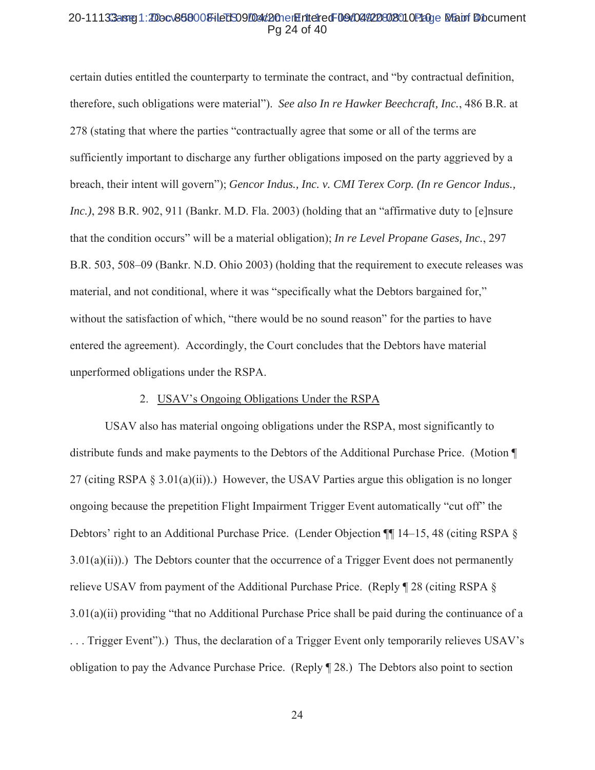#### 20-11133arg1:20ocv868008-iled 509/04d20nen Entered F09/04/220802010 Page Main Document Pg 24 of 40

Full certain duties entitled the counterparty to terminate the contract, and "by contractual definition, therefore, such obligations were material"). See also In re Hawker Beechcraft, Inc., 486 B.R. at 278 (stating that where the parties "contractually agree that some or all of the terms are sufficiently important to discharge any further obligations imposed on the party aggrieved by a breach, their intent will govern"); Gencor Indus., Inc. v. CMI Terex Corp. (In re Gencor Indus., *Inc.*), 298 B.R. 902, 911 (Bankr. M.D. Fla. 2003) (holding that an "affirmative duty to [e]nsure that the condition occurs" will be a material obligation); In re Level Propane Gases, Inc., 297 B.R. 503, 508–09 (Bankr. N.D. Ohio 2003) (holding that the requirement to execute releases was material, and not conditional, where it was "specifically what the Debtors bargained for," without the satisfaction of which, "there would be no sound reason" for the parties to have entered the agreement). Accordingly, the Court concludes that the Debtors have material unperformed obligations under the RSPA.

# 2. USAV's Ongoing Obligations Under the RSPA

USAV also has material ongoing obligations under the RSPA, most significantly to distribute funds and make payments to the Debtors of the Additional Purchase Price. (Motion \[ 27 (citing RSPA  $\S 3.01(a)(ii)$ ).) However, the USAV Parties argue this obligation is no longer ongoing because the prepetition Flight Impairment Trigger Event automatically "cut off" the Debtors' right to an Additional Purchase Price. (Lender Objection  $\P$  14–15, 48 (citing RSPA  $\S$  $3.01(a)(ii)$ ). The Debtors counter that the occurrence of a Trigger Event does not permanently relieve USAV from payment of the Additional Purchase Price. (Reply  $\parallel$  28 (citing RSPA §  $3.01(a)(ii)$  providing "that no Additional Purchase Price shall be paid during the continuance of a  $\ldots$  Trigger Event").) Thus, the declaration of a Trigger Event only temporarily relieves USAV's obligation to pay the Advance Purchase Price. (Reply  $\P$  28.) The Debtors also point to section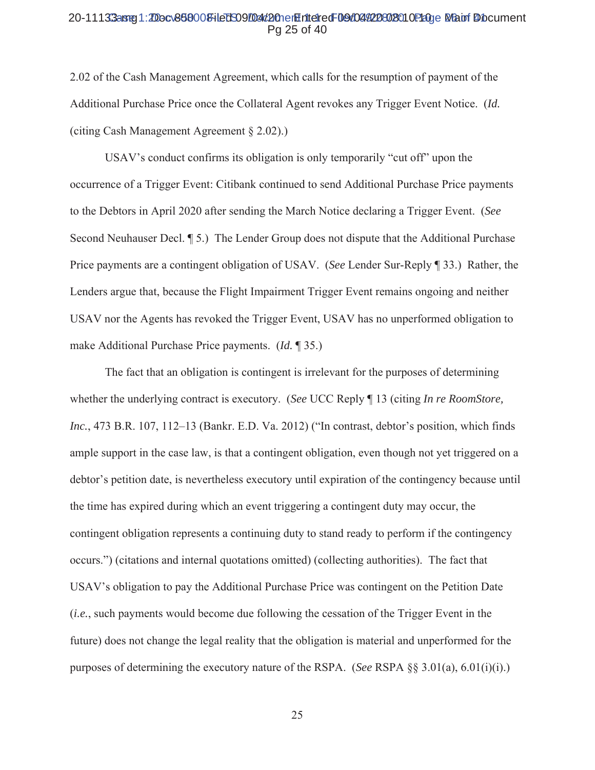#### 20-11133aste1:2Docv868000FileDS09D04d2OnerHilteredF09d04922802010P20ge MapriDocument Pa 25 of 40

2.02 of the Cash Management Agreement, which calls for the resumption of payment of the Additional Purchase Price once the Collateral Agent revokes any Trigger Event Notice. (Id. (citing Cash Management Agreement  $\S$  2.02).)

USAV's conduct confirms its obligation is only temporarily "cut off" upon the occurrence of a Trigger Event: Citibank continued to send Additional Purchase Price payments to the Debtors in April 2020 after sending the March Notice declaring a Trigger Event. (See Second Neuhauser Decl. [5.] The Lender Group does not dispute that the Additional Purchase Price payments are a contingent obligation of USAV. (See Lender Sur-Reply 133.) Rather, the Lenders argue that, because the Flight Impairment Trigger Event remains ongoing and neither USAV nor the Agents has revoked the Trigger Event, USAV has no unperformed obligation to make Additional Purchase Price payments. (*Id.* 135.)

The fact that an obligation is contingent is irrelevant for the purposes of determining whether the underlying contract is executory. (See UCC Reply 13 (citing In re RoomStore, Inc., 473 B.R. 107, 112–13 (Bankr. E.D. Va. 2012) ("In contrast, debtor's position, which finds ample support in the case law, is that a contingent obligation, even though not yet triggered on a debtor's petition date, is nevertheless executory until expiration of the contingency because until the time has expired during which an event triggering a contingent duty may occur, the contingent obligation represents a continuing duty to stand ready to perform if the contingency occurs.") (citations and internal quotations omitted) (collecting authorities). The fact that USAV's obligation to pay the Additional Purchase Price was contingent on the Petition Date *(i.e., such payments would become due following the cessation of the Trigger Event in the* future) does not change the legal reality that the obligation is material and unperformed for the purposes of determining the executory nature of the RSPA. (See RSPA  $\S$ § 3.01(a), 6.01(i)(i).)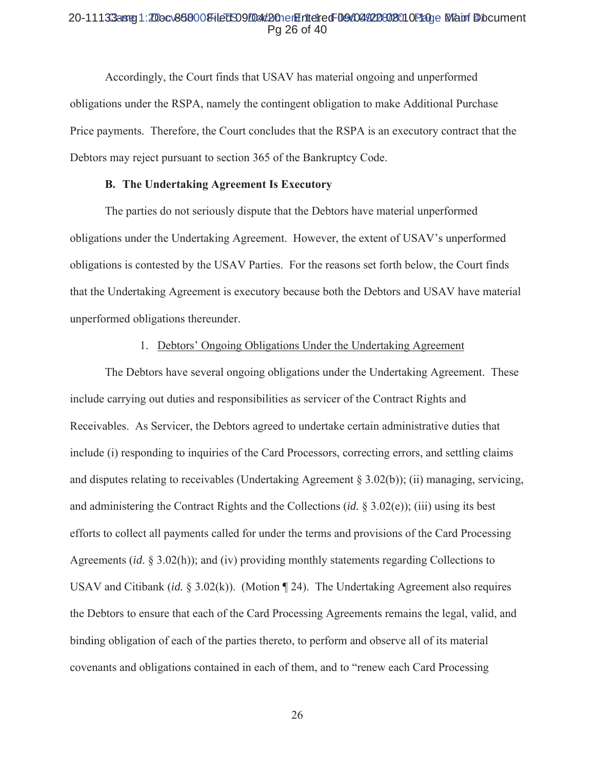#### 20-11133aste1:2Docv868000FileDS09D04d2OnerHilteredF09d04922802010P10ge Mainf Diocument Pa 26 of 40

Accordingly, the Court finds that USAV has material ongoing and unperformed obligations under the RSPA, namely the contingent obligation to make Additional Purchase Price payments. Therefore, the Court concludes that the RSPA is an executory contract that the Debtors may reject pursuant to section 365 of the Bankruptcy Code.

# **B.** The Undertaking Agreement Is Executory

The parties do not seriously dispute that the Debtors have material unperformed obligations under the Undertaking Agreement. However, the extent of USAV's unperformed obligations is contested by the USAV Parties. For the reasons set forth below, the Court finds that the Undertaking Agreement is executory because both the Debtors and USAV have material unperformed obligations thereunder.

#### 1. Debtors' Ongoing Obligations Under the Undertaking Agreement

The Debtors have several ongoing obligations under the Undertaking Agreement. These include carrying out duties and responsibilities as servicer of the Contract Rights and Receivables. As Servicer, the Debtors agreed to undertake certain administrative duties that include (i) responding to inquiries of the Card Processors, correcting errors, and settling claims and disputes relating to receivables (Undertaking Agreement  $\S 3.02(b)$ ); (ii) managing, servicing, and administering the Contract Rights and the Collections (id.  $\S 3.02(e)$ ); (iii) using its best efforts to collect all payments called for under the terms and provisions of the Card Processing Agreements (id.  $\S$  3.02(h)); and (iv) providing monthly statements regarding Collections to USAV and Citibank (id.  $\S 3.02(k)$ ). (Motion  $\S 24$ ). The Undertaking Agreement also requires the Debtors to ensure that each of the Card Processing Agreements remains the legal, valid, and binding obligation of each of the parties thereto, to perform and observe all of its material covenants and obligations contained in each of them, and to "renew each Card Processing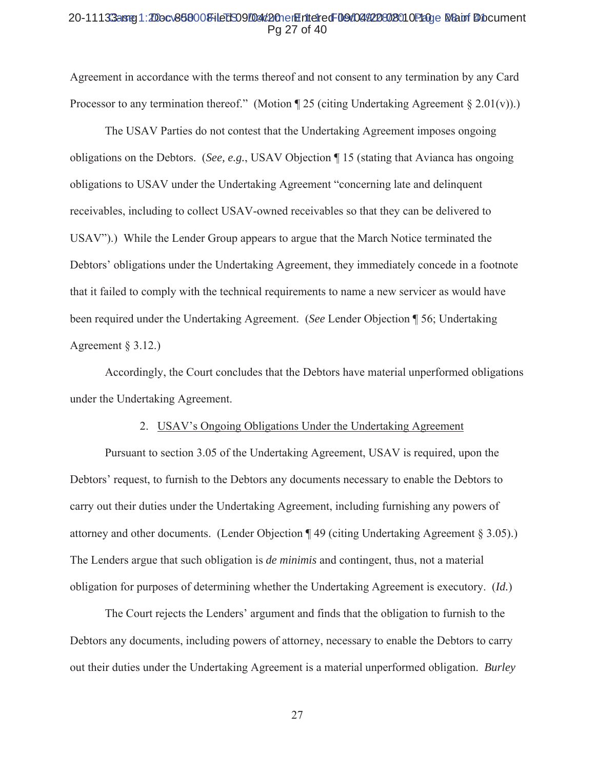#### 20-11133aster1:200cv868008+ledS09004d20netEritetredF09d044228028010P20ne Mauri Diocument Pa 27 of 40

Agreement in accordance with the terms thereof and not consent to any termination by any Card Processor to any termination thereof." (Motion  $\sqrt{25}$  (citing Undertaking Agreement  $\sqrt[8]{2.01(v)}$ ).)

The USAV Parties do not contest that the Undertaking Agreement imposes ongoing obligations on the Debtors. (See, e.g., USAV Objection  $\P$  15 (stating that Avianca has ongoing obligations to USAV under the Undertaking Agreement "concerning late and delinquent receivables, including to collect USAV-owned receivables so that they can be delivered to USAV").) While the Lender Group appears to argue that the March Notice terminated the Debtors' obligations under the Undertaking Agreement, they immediately concede in a footnote that it failed to comply with the technical requirements to name a new servicer as would have been required under the Undertaking Agreement. (See Lender Objection ¶ 56; Undertaking Agreement  $\S$  3.12.)

Accordingly, the Court concludes that the Debtors have material unperformed obligations under the Undertaking Agreement.

#### 2. USAV's Ongoing Obligations Under the Undertaking Agreement

Pursuant to section 3.05 of the Undertaking Agreement, USAV is required, upon the Debtors' request, to furnish to the Debtors any documents necessary to enable the Debtors to carry out their duties under the Undertaking Agreement, including furnishing any powers of attorney and other documents. (Lender Objection  $\P$  49 (citing Undertaking Agreement § 3.05).) The Lenders argue that such obligation is *de minimis* and contingent, thus, not a material obligation for purposes of determining whether the Undertaking Agreement is executory. (Id.)

The Court rejects the Lenders' argument and finds that the obligation to furnish to the Debtors any documents, including powers of attorney, necessary to enable the Debtors to carry out their duties under the Undertaking Agreement is a material unperformed obligation. Burley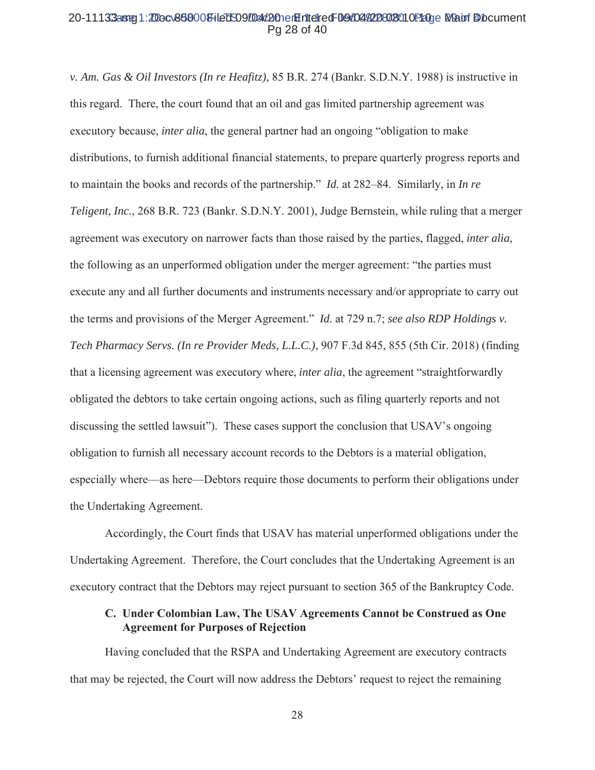#### 20-11133arg1:20ocv868008-iled 509/04d20nen Entered F09/04/220802010 Page Main Diocument Pg 28 of 40

*v. Am. Gas & Oil Investors (In re Heafitz)*, 85 B.R. 274 (Bankr. S.D.N.Y. 1988) is instructive in this regard. There, the court found that an oil and gas limited partnership agreement was executory because, *inter alia*, the general partner had an ongoing "obligation to make distributions, to furnish additional financial statements, to prepare quarterly progress reports and to maintain the books and records of the partnership." *Id.* at 282–84. Similarly, in *In re Teligent, Inc.*, 268 B.R. 723 (Bankr. S.D.N.Y. 2001), Judge Bernstein, while ruling that a merger agreement was executory on narrower facts than those raised by the parties, flagged, *inter alia*, the following as an unperformed obligation under the merger agreement: "the parties must execute any and all further documents and instruments necessary and/or appropriate to carry out the terms and provisions of the Merger Agreement." Id. at 729 n.7; see also RDP Holdings v. *Tech Pharmacy Servs. (In re Provider Meds, L.L.C.), 907 F.3d 845, 855 (5th Cir. 2018) (finding* that a licensing agreement was executory where, *inter alia*, the agreement "straightforwardly obligated the debtors to take certain ongoing actions, such as filing quarterly reports and not discussing the settled lawsuit"). These cases support the conclusion that USAV's ongoing obligation to furnish all necessary account records to the Debtors is a material obligation, especially where—as here—Debtors require those documents to perform their obligations under the Undertaking Agreement.

Accordingly, the Court finds that USAV has material unperformed obligations under the Undertaking Agreement. Therefore, the Court concludes that the Undertaking Agreement is an executory contract that the Debtors may reject pursuant to section 365 of the Bankruptcy Code.

# C. Under Colombian Law, The USAV Agreements Cannot be Construed as One **Agreement for Purposes of Rejection**

Having concluded that the RSPA and Undertaking Agreement are executory contracts that may be rejected, the Court will now address the Debtors' request to reject the remaining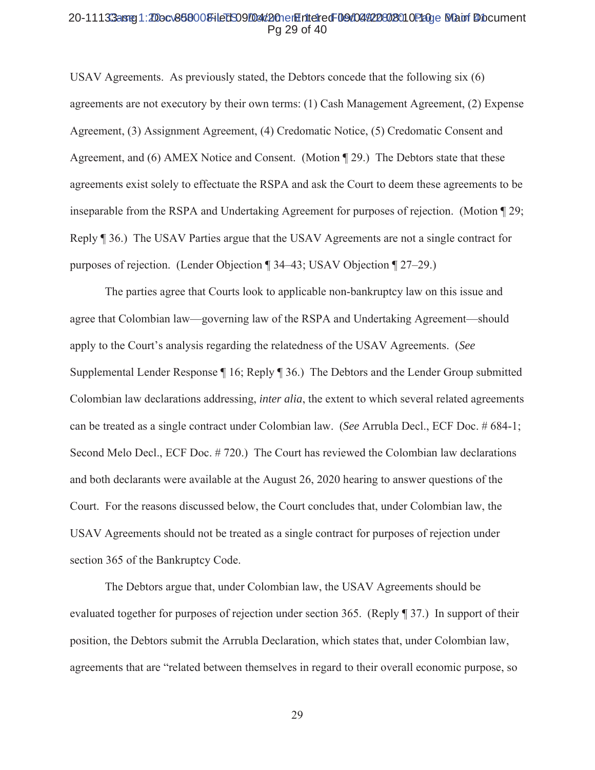#### 20-11133aster1:2Docv868008+ledS09/04/20netEriteredF09/04/20802010P20ge Matri Diocument Pa 29 of 40

USAV Agreements. As previously stated, the Debtors concede that the following  $s$ ix  $(6)$ agreements are not executory by their own terms: (1) Cash Management Agreement, (2) Expense Agreement, (3) Assignment Agreement, (4) Credomatic Notice, (5) Credomatic Consent and Agreement, and (6) AMEX Notice and Consent. (Motion 129.) The Debtors state that these agreements exist solely to effectuate the RSPA and ask the Court to deem these agreements to be inseparable from the RSPA and Undertaking Agreement for purposes of rejection. (Motion  $\sqrt{29}$ ; Reply 136.) The USAV Parties argue that the USAV Agreements are not a single contract for purposes of rejection. (Lender Objection ¶ 34–43; USAV Objection ¶ 27–29.)

The parties agree that Courts look to applicable non-bankruptcy law on this issue and agree that Colombian law—governing law of the RSPA and Undertaking Agreement—should apply to the Court's analysis regarding the relatedness of the USAV Agreements. (See Supplemental Lender Response  $\P$  16; Reply  $\P$  36.) The Debtors and the Lender Group submitted Colombian law declarations addressing, *inter alia*, the extent to which several related agreements can be treated as a single contract under Colombian law. (See Arrubla Decl., ECF Doc. # 684-1; Second Melo Decl., ECF Doc. #720.) The Court has reviewed the Colombian law declarations and both declarants were available at the August 26, 2020 hearing to answer questions of the Court. For the reasons discussed below, the Court concludes that, under Colombian law, the USAV Agreements should not be treated as a single contract for purposes of rejection under section 365 of the Bankruptcy Code.

The Debtors argue that, under Colombian law, the USAV Agreements should be evaluated together for purposes of rejection under section 365. (Reply  $\parallel$  37.) In support of their position, the Debtors submit the Arrubla Declaration, which states that, under Colombian law, agreements that are "related between themselves in regard to their overall economic purpose, so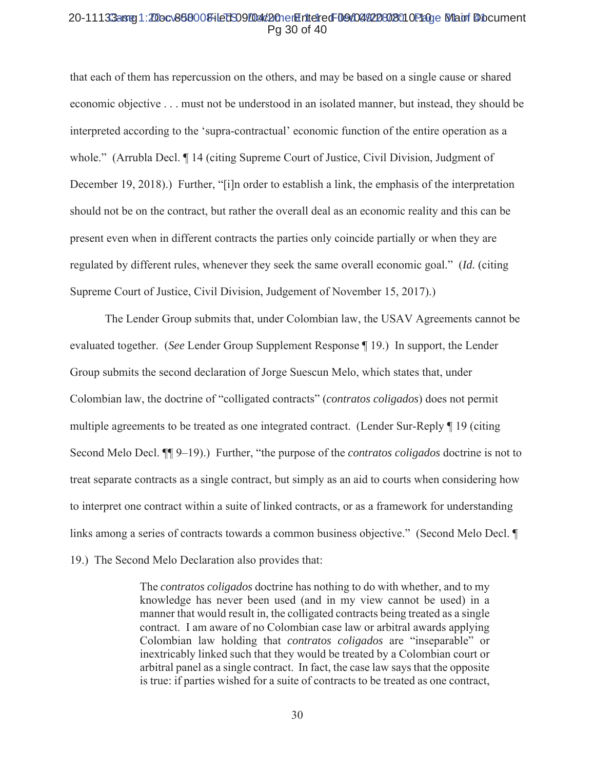#### 20-11133aster1:2Docv868008+ledS09/D4d2OnerHriteredF09/04/20802010P20ge Matri Diocument Pg 30 of 40

that each of them has repercussion on the others, and may be based on a single cause or shared economic objective . . . must not be understood in an isolated manner, but instead, they should be interpreted according to the 'supra-contractual' economic function of the entire operation as a whole." (Arrubla Decl. ¶ 14 (citing Supreme Court of Justice, Civil Division, Judgment of December 19, 2018).) Further, "[i]n order to establish a link, the emphasis of the interpretation should not be on the contract, but rather the overall deal as an economic reality and this can be present even when in different contracts the parties only coincide partially or when they are regulated by different rules, whenever they seek the same overall economic goal." *(Id.* (citing Supreme Court of Justice, Civil Division, Judgement of November 15, 2017).

The Lender Group submits that, under Colombian law, the USAV Agreements cannot be evaluated together. (See Lender Group Supplement Response ¶ 19.) In support, the Lender Group submits the second declaration of Jorge Suescun Melo, which states that, under Colombian law, the doctrine of "colligated contracts" (contratos coligados) does not permit multiple agreements to be treated as one integrated contract. (Lender Sur-Reply ¶ 19 (citing Second Melo Decl.  $\P\P$  9–19).) Further, "the purpose of the *contratos coligados* doctrine is not to treat separate contracts as a single contract, but simply as an aid to courts when considering how to interpret one contract within a suite of linked contracts, or as a framework for understanding links among a series of contracts towards a common business objective." (Second Melo Decl. ¶ 19.) The Second Melo Declaration also provides that:

> The *contratos coligados* doctrine has nothing to do with whether, and to my knowledge has never been used (and in my view cannot be used) in a manner that would result in, the colligated contracts being treated as a single contract. I am aware of no Colombian case law or arbitral awards applying Colombian law holding that *contratos coligados* are "inseparable" or inextricably linked such that they would be treated by a Colombian court or arbitral panel as a single contract. In fact, the case law says that the opposite is true: if parties wished for a suite of contracts to be treated as one contract,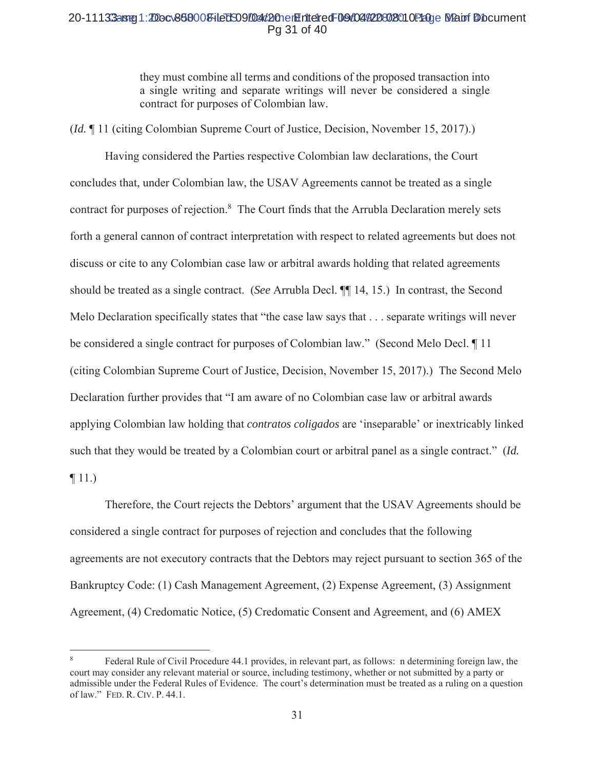# 20-11133aster1:200cv868008+ledS09004d20netEritetredF09d044228028010P20ne Matri Diocument Pg 31 of 40

they must combine all terms and conditions of the proposed transaction into a single writing and separate writings will never be considered a single contract for purposes of Colombian law.

*(Id.* 11 (citing Colombian Supreme Court of Justice, Decision, November 15, 2017).)

Having considered the Parties respective Colombian law declarations, the Court concludes that, under Colombian law, the USAV Agreements cannot be treated as a single contract for purposes of rejection.<sup>8</sup> The Court finds that the Arrubla Declaration merely sets forth a general cannon of contract interpretation with respect to related agreements but does not discuss or cite to any Colombian case law or arbitral awards holding that related agreements should be treated as a single contract. (See Arrubla Decl.  $\P$  14, 15.) In contrast, the Second Melo Declaration specifically states that "the case law says that . . . separate writings will never be considered a single contract for purposes of Colombian law." (Second Melo Decl. 11) (citing Colombian Supreme Court of Justice, Decision, November 15, 2017).) The Second Melo Declaration further provides that "I am aware of no Colombian case law or arbitral awards applying Colombian law holding that *contratos coligados* are 'inseparable' or inextricably linked such that they would be treated by a Colombian court or arbitral panel as a single contract." (Id.  $\P$  11.)

Therefore, the Court rejects the Debtors' argument that the USAV Agreements should be considered a single contract for purposes of rejection and concludes that the following agreements are not executory contracts that the Debtors may reject pursuant to section 365 of the Bankruptcy Code: (1) Cash Management Agreement, (2) Expense Agreement, (3) Assignment Agreement, (4) Credomatic Notice, (5) Credomatic Consent and Agreement, and (6) AMEX

Federal Rule of Civil Procedure 44.1 provides, in relevant part, as follows: n determining foreign law, the court may consider any relevant material or source, including testimony, whether or not submitted by a party or admissible under the Federal Rules of Evidence. The court's determination must be treated as a ruling on a question of law." FED. R. CIV. P. 44.1.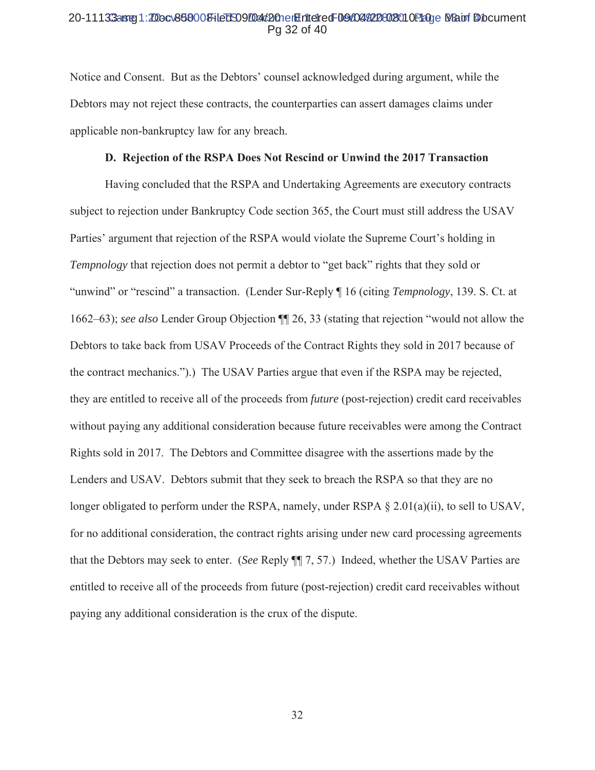#### 20-11133aster1:2Docv868008+ledS09/D4d2OnerHriteredF09/04/20802010P20ge Man Diocument Pa 32 of 40

Notice and Consent. But as the Debtors' counsel acknowledged during argument, while the Debtors may not reject these contracts, the counterparties can assert damages claims under applicable non-bankruptcy law for any breach.

#### D. Rejection of the RSPA Does Not Rescind or Unwind the 2017 Transaction

Having concluded that the RSPA and Undertaking Agreements are executory contracts subject to rejection under Bankruptcy Code section 365, the Court must still address the USAV Parties' argument that rejection of the RSPA would violate the Supreme Court's holding in *Tempnology* that rejection does not permit a debtor to "get back" rights that they sold or "unwind" or "rescind" a transaction. (Lender Sur-Reply ¶ 16 (citing Tempnology, 139. S. Ct. at 1662–63); see also Lender Group Objection ¶ 26, 33 (stating that rejection "would not allow the Debtors to take back from USAV Proceeds of the Contract Rights they sold in 2017 because of the contract mechanics.").) The USAV Parties argue that even if the RSPA may be rejected, they are entitled to receive all of the proceeds from *future* (post-rejection) credit card receivables without paying any additional consideration because future receivables were among the Contract Rights sold in 2017. The Debtors and Committee disagree with the assertions made by the Lenders and USAV. Debtors submit that they seek to breach the RSPA so that they are no longer obligated to perform under the RSPA, namely, under RSPA  $\S$  2.01(a)(ii), to sell to USAV, for no additional consideration, the contract rights arising under new card processing agreements that the Debtors may seek to enter. (See Reply ¶ 7, 57.) Indeed, whether the USAV Parties are entitled to receive all of the proceeds from future (post-rejection) credit card receivables without paying any additional consideration is the crux of the dispute.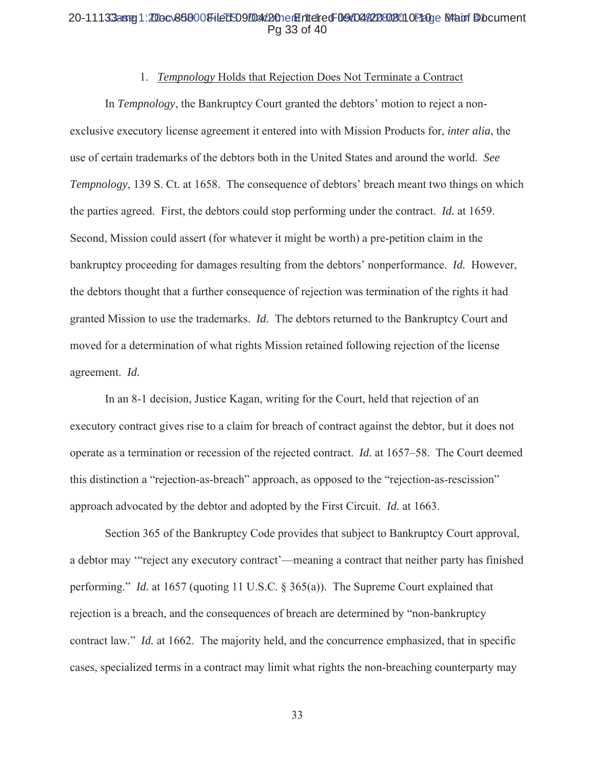## 20-11133aster1:200cv868008+ledS09004d20netEriteredF09d044228023010P200e B4atof Diocument Pa 33 of 40

#### 1. Tempnology Holds that Rejection Does Not Terminate a Contract

In *Tempnology*, the Bankruptcy Court granted the debtors' motion to reject a nonexclusive executory license agreement it entered into with Mission Products for, *inter alia*, the use of certain trademarks of the debtors both in the United States and around the world. See Tempnology, 139 S. Ct. at 1658. The consequence of debtors' breach meant two things on which the parties agreed. First, the debtors could stop performing under the contract. *Id.* at 1659. Second, Mission could assert (for whatever it might be worth) a pre-petition claim in the bankruptcy proceeding for damages resulting from the debtors' nonperformance. Id. However, the debtors thought that a further consequence of rejection was termination of the rights it had granted Mission to use the trademarks. *Id.* The debtors returned to the Bankruptcy Court and moved for a determination of what rights Mission retained following rejection of the license agreement. Id.

In an 8-1 decision, Justice Kagan, writing for the Court, held that rejection of an executory contract gives rise to a claim for breach of contract against the debtor, but it does not operate as a termination or recession of the rejected contract. *Id.* at 1657–58. The Court deemed this distinction a "rejection-as-breach" approach, as opposed to the "rejection-as-rescission" approach advocated by the debtor and adopted by the First Circuit. *Id.* at 1663.

Section 365 of the Bankruptcy Code provides that subject to Bankruptcy Court approval, a debtor may "reject any executory contract"—meaning a contract that neither party has finished performing." *Id.* at 1657 (quoting 11 U.S.C.  $\S$  365(a)). The Supreme Court explained that rejection is a breach, and the consequences of breach are determined by "non-bankruptcy" contract law." *Id.* at 1662. The majority held, and the concurrence emphasized, that in specific cases, specialized terms in a contract may limit what rights the non-breaching counterparty may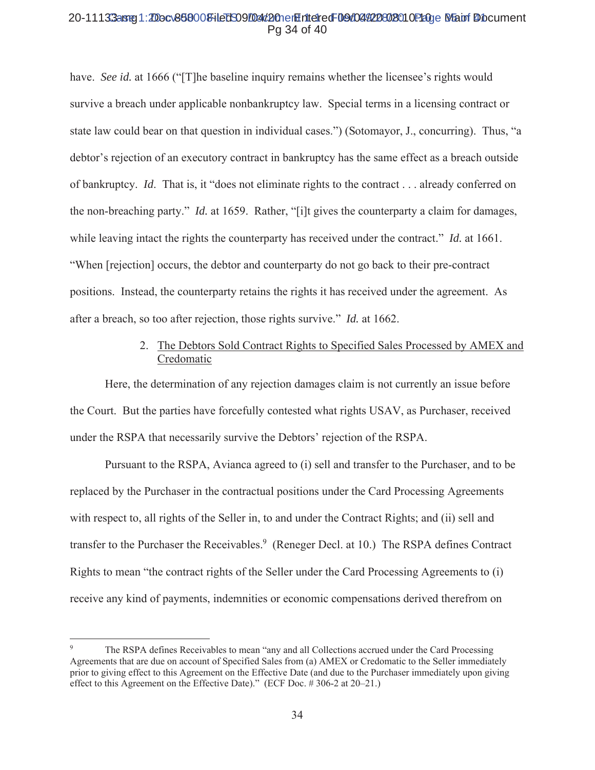## 20-11133aster1:200cv868008+ledS09004d20netEriteredF09d044228023010P20ne MannfDocument Pa 34 of 40

have. See id. at 1666 ("[T] he baseline inquiry remains whether the licensee's rights would survive a breach under applicable nonbankruptcy law. Special terms in a licensing contract or state law could bear on that question in individual cases.") (Sotomayor, J., concurring). Thus, "a debtor's rejection of an executory contract in bankruptcy has the same effect as a breach outside of bankruptcy. Id. That is, it "does not eliminate rights to the contract . . . already conferred on the non-breaching party." *Id.* at 1659. Rather, "[i]t gives the counterparty a claim for damages, while leaving intact the rights the counterparty has received under the contract." *Id.* at 1661. "When [rejection] occurs, the debtor and counterparty do not go back to their pre-contract positions. Instead, the counterparty retains the rights it has received under the agreement. As after a breach, so too after rejection, those rights survive." *Id.* at 1662.

# 2. The Debtors Sold Contract Rights to Specified Sales Processed by AMEX and Credomatic

Here, the determination of any rejection damages claim is not currently an issue before the Court. But the parties have forcefully contested what rights USAV, as Purchaser, received under the RSPA that necessarily survive the Debtors' rejection of the RSPA.

Pursuant to the RSPA, Avianca agreed to (i) sell and transfer to the Purchaser, and to be replaced by the Purchaser in the contractual positions under the Card Processing Agreements with respect to, all rights of the Seller in, to and under the Contract Rights; and (ii) sell and transfer to the Purchaser the Receivables.<sup>9</sup> (Reneger Decl. at 10.) The RSPA defines Contract Rights to mean "the contract rights of the Seller under the Card Processing Agreements to (i) receive any kind of payments, indemnities or economic compensations derived therefrom on

The RSPA defines Receivables to mean "any and all Collections accrued under the Card Processing Agreements that are due on account of Specified Sales from (a) AMEX or Credomatic to the Seller immediately prior to giving effect to this Agreement on the Effective Date (and due to the Purchaser immediately upon giving effect to this Agreement on the Effective Date)." (ECF Doc. #306-2 at 20–21.)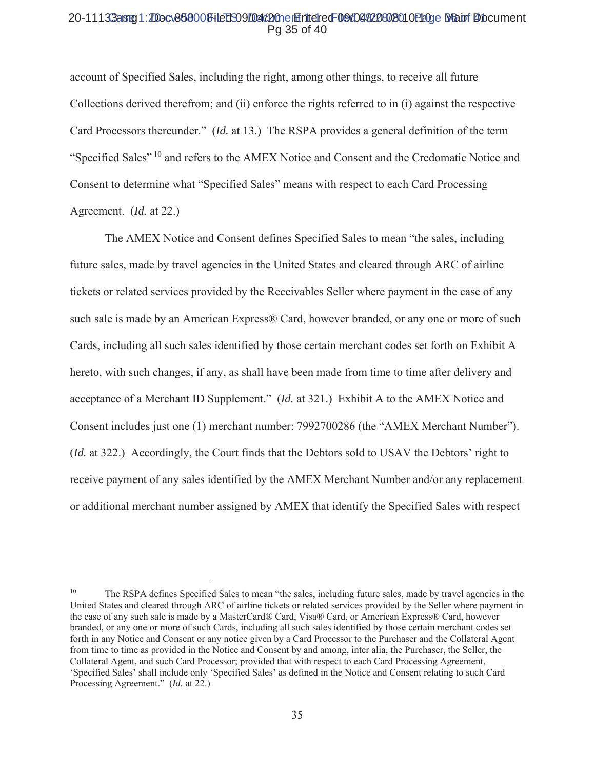#### 20-11133arrej1:200c\868008+ledS09f04d20nerHinteredF09d04920802010P20ge MannfDocument Pg 35 of 40

account of Specified Sales, including the right, among other things, to receive all future Collections derived therefrom; and (ii) enforce the rights referred to in (i) against the respective Card Processors thereunder." (*Id.* at 13.) The RSPA provides a general definition of the term "Specified Sales"<sup>10</sup> and refers to the AMEX Notice and Consent and the Credomatic Notice and Consent to determine what "Specified Sales" means with respect to each Card Processing Agreement. *(Id. at 22.)* 

The AMEX Notice and Consent defines Specified Sales to mean "the sales, including future sales, made by travel agencies in the United States and cleared through ARC of airline tickets or related services provided by the Receivables Seller where payment in the case of any such sale is made by an American Express® Card, however branded, or any one or more of such Cards, including all such sales identified by those certain merchant codes set forth on Exhibit A hereto, with such changes, if any, as shall have been made from time to time after delivery and acceptance of a Merchant ID Supplement." (Id. at 321.) Exhibit A to the AMEX Notice and Consent includes just one (1) merchant number: 7992700286 (the "AMEX Merchant Number"). (Id. at 322.) Accordingly, the Court finds that the Debtors sold to USAV the Debtors' right to receive payment of any sales identified by the AMEX Merchant Number and/or any replacement or additional merchant number assigned by AMEX that identify the Specified Sales with respect

 $10<sup>1</sup>$ The RSPA defines Specified Sales to mean "the sales, including future sales, made by travel agencies in the United States and cleared through ARC of airline tickets or related services provided by the Seller where payment in the case of any such sale is made by a MasterCard® Card, Visa® Card, or American Express® Card, however branded, or any one or more of such Cards, including all such sales identified by those certain merchant codes set forth in any Notice and Consent or any notice given by a Card Processor to the Purchaser and the Collateral Agent from time to time as provided in the Notice and Consent by and among, inter alia, the Purchaser, the Seller, the Collateral Agent, and such Card Processor; provided that with respect to each Card Processing Agreement, 'Specified Sales' shall include only 'Specified Sales' as defined in the Notice and Consent relating to such Card Processing Agreement." (Id. at 22.)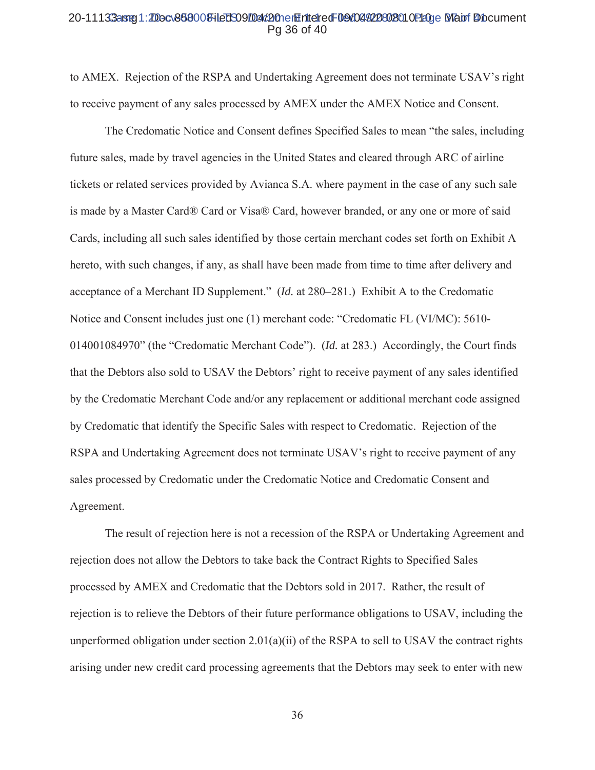#### 20-11133aster1:2Docv868008HeDSO9D4d2OnerHriteredF09d04422802010P10ge Matri Diocument Pa 36 of 40

to AMEX. Rejection of the RSPA and Undertaking Agreement does not terminate USAV's right to receive payment of any sales processed by AMEX under the AMEX Notice and Consent.

The Credomatic Notice and Consent defines Specified Sales to mean "the sales, including future sales, made by travel agencies in the United States and cleared through ARC of airline tickets or related services provided by Avianca S.A. where payment in the case of any such sale is made by a Master Card® Card or Visa® Card, however branded, or any one or more of said Cards, including all such sales identified by those certain merchant codes set forth on Exhibit A hereto, with such changes, if any, as shall have been made from time to time after delivery and acceptance of a Merchant ID Supplement." (Id. at 280–281.) Exhibit A to the Credomatic Notice and Consent includes just one (1) merchant code: "Credomatic FL (VI/MC): 5610-014001084970" (the "Credomatic Merchant Code"). (Id. at 283.) Accordingly, the Court finds that the Debtors also sold to USAV the Debtors' right to receive payment of any sales identified by the Credomatic Merchant Code and/or any replacement or additional merchant code assigned by Credomatic that identify the Specific Sales with respect to Credomatic. Rejection of the RSPA and Undertaking Agreement does not terminate USAV's right to receive payment of any sales processed by Credomatic under the Credomatic Notice and Credomatic Consent and Agreement.

The result of rejection here is not a recession of the RSPA or Undertaking Agreement and rejection does not allow the Debtors to take back the Contract Rights to Specified Sales processed by AMEX and Credomatic that the Debtors sold in 2017. Rather, the result of rejection is to relieve the Debtors of their future performance obligations to USAV, including the unperformed obligation under section  $2.01(a)(ii)$  of the RSPA to sell to USAV the contract rights arising under new credit card processing agreements that the Debtors may seek to enter with new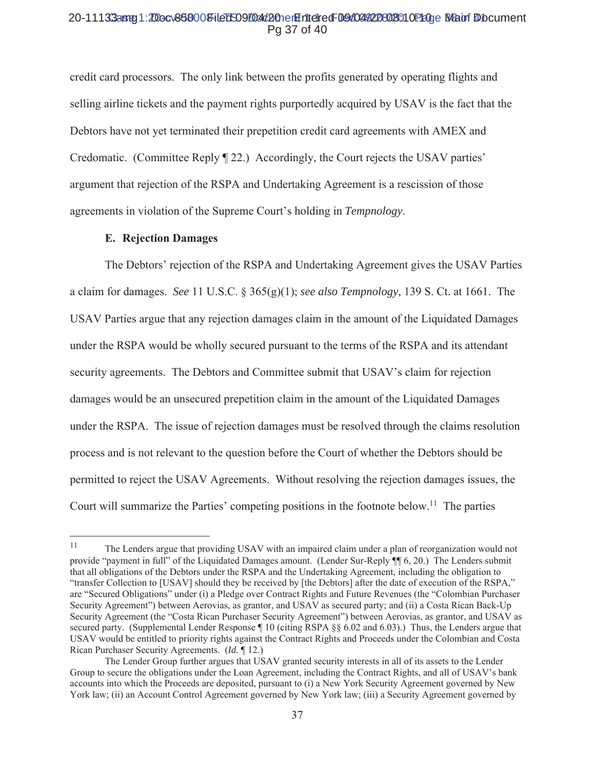#### 20-11133arg1:20ocv868008-iled 509/04/20 en Entered F09/04/220802010 Page 8/auf Document Pg 37 of 40

credit card processors. The only link between the profits generated by operating flights and selling airline tickets and the payment rights purportedly acquired by USAV is the fact that the Debtors have not yet terminated their prepetition credit card agreements with AMEX and Credomatic. (Committee Reply 122.) Accordingly, the Court rejects the USAV parties' argument that rejection of the RSPA and Undertaking Agreement is a rescission of those agreements in violation of the Supreme Court's holding in *Tempnology*.

## **E. Rejection Damages**

The Debtors' rejection of the RSPA and Undertaking Agreement gives the USAV Parties a claim for damages. See 11 U.S.C.  $\S 365(g)(1)$ ; see also Tempnology, 139 S. Ct. at 1661. The USAV Parties argue that any rejection damages claim in the amount of the Liquidated Damages under the RSPA would be wholly secured pursuant to the terms of the RSPA and its attendant security agreements. The Debtors and Committee submit that USAV's claim for rejection damages would be an unsecured prepetition claim in the amount of the Liquidated Damages under the RSPA. The issue of rejection damages must be resolved through the claims resolution process and is not relevant to the question before the Court of whether the Debtors should be permitted to reject the USAV Agreements. Without resolving the rejection damages issues, the Court will summarize the Parties' competing positions in the footnote below.<sup>11</sup> The parties

<sup>&</sup>lt;sup>11</sup> The Lenders argue that providing USAV with an impaired claim under a plan of reorganization would not provide "payment in full" of the Liquidated Damages amount. (Lender Sur-Reply  $\P$  $[6, 20]$ ) The Lenders submit that all obligations of the Debtors under the RSPA and the Undertaking Agreement, including the obligation to "transfer Collection to [USAV] should they be received by [the Debtors] after the date of execution of the RSPA," are "Secured Obligations" under (i) a Pledge over Contract Rights and Future Revenues (the "Colombian Purchaser Security Agreement") between Aerovias, as grantor, and USAV as secured party; and (ii) a Costa Rican Back-Up Security Agreement (the "Costa Rican Purchaser Security Agreement") between Aerovias, as grantor, and USAV as secured party. (Supplemental Lender Response  $\P$  10 (citing RSPA §§ 6.02 and 6.03).) Thus, the Lenders argue that USAV would be entitled to priority rights against the Contract Rights and Proceeds under the Colombian and Costa Rican Purchaser Security Agreements. (*Id.* 12.)

The Lender Group further argues that USAV granted security interests in all of its assets to the Lender Group to secure the obligations under the Loan Agreement, including the Contract Rights, and all of USAV's bank accounts into which the Proceeds are deposited, pursuant to (i) a New York Security Agreement governed by New York law; (ii) an Account Control Agreement governed by New York law; (iii) a Security Agreement governed by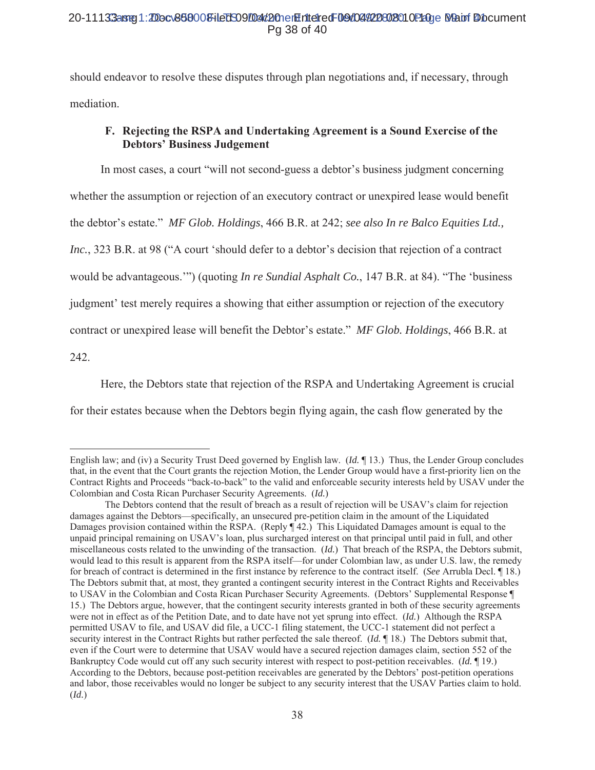should endeavor to resolve these disputes through plan negotiations and, if necessary, through mediation.

# F. Rejecting the RSPA and Undertaking Agreement is a Sound Exercise of the **Debtors' Business Judgement**

In most cases, a court "will not second-guess a debtor's business judgment concerning whether the assumption or rejection of an executory contract or unexpired lease would benefit the debtor's estate." MF Glob. Holdings, 466 B.R. at 242; see also In re Balco Equities Ltd., Inc., 323 B.R. at 98 ("A court 'should defer to a debtor's decision that rejection of a contract would be advantageous."") (quoting In re Sundial Asphalt Co., 147 B.R. at 84). "The 'business' judgment' test merely requires a showing that either assumption or rejection of the executory contract or unexpired lease will benefit the Debtor's estate." MF Glob. Holdings, 466 B.R. at 242.

Here, the Debtors state that rejection of the RSPA and Undertaking Agreement is crucial for their estates because when the Debtors begin flying again, the cash flow generated by the

English law; and (iv) a Security Trust Deed governed by English law. (Id.  $\P$ 13.) Thus, the Lender Group concludes that, in the event that the Court grants the rejection Motion, the Lender Group would have a first-priority lien on the Contract Rights and Proceeds "back-to-back" to the valid and enforceable security interests held by USAV under the Colombian and Costa Rican Purchaser Security Agreements. (Id.)

The Debtors contend that the result of breach as a result of rejection will be USAV's claim for rejection damages against the Debtors—specifically, an unsecured pre-petition claim in the amount of the Liquidated Damages provision contained within the RSPA. (Reply  $\P$  42.) This Liquidated Damages amount is equal to the unpaid principal remaining on USAV's loan, plus surcharged interest on that principal until paid in full, and other miscellaneous costs related to the unwinding of the transaction. (Id.) That breach of the RSPA, the Debtors submit, would lead to this result is apparent from the RSPA itself—for under Colombian law, as under U.S. law, the remedy for breach of contract is determined in the first instance by reference to the contract itself. (See Arrubla Decl. ¶ 18.) The Debtors submit that, at most, they granted a contingent security interest in the Contract Rights and Receivables to USAV in the Colombian and Costa Rican Purchaser Security Agreements. (Debtors' Supplemental Response ¶ 15.) The Debtors argue, however, that the contingent security interests granted in both of these security agreements were not in effect as of the Petition Date, and to date have not vet sprung into effect. (*Id.*) Although the RSPA permitted USAV to file, and USAV did file, a UCC-1 filing statement, the UCC-1 statement did not perfect a security interest in the Contract Rights but rather perfected the sale thereof. (*Id.* 18.) The Debtors submit that, even if the Court were to determine that USAV would have a secured rejection damages claim, section 552 of the Bankruptcy Code would cut off any such security interest with respect to post-petition receivables. (Id. 19.) According to the Debtors, because post-petition receivables are generated by the Debtors' post-petition operations and labor, those receivables would no longer be subject to any security interest that the USAV Parties claim to hold.  $(Id.)$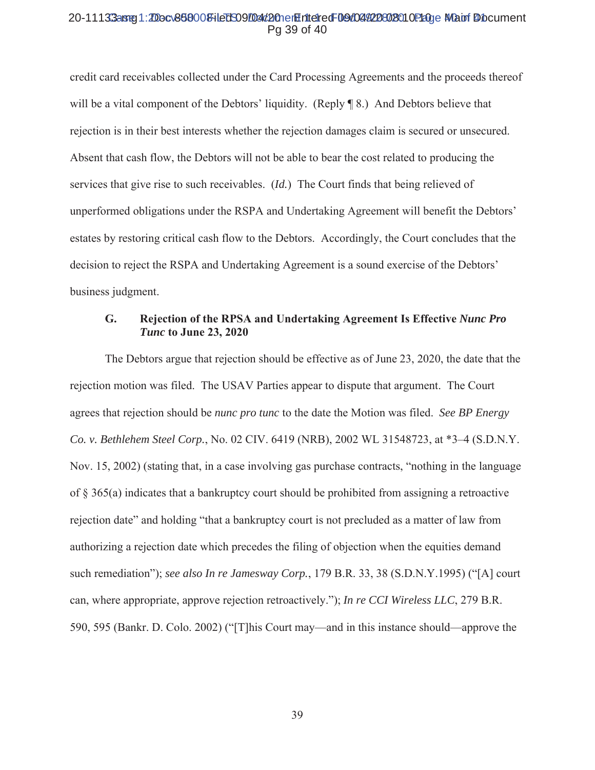#### 20-11133aster1:2Docv868000FileDS09/Dat/2OnerHriteiredF09/04/20802010P20ge Mapri Diocument Pa 39 of 40

credit card receivables collected under the Card Processing Agreements and the proceeds thereof will be a vital component of the Debtors' liquidity. (Reply ¶ 8.) And Debtors believe that rejection is in their best interests whether the rejection damages claim is secured or unsecured. Absent that cash flow, the Debtors will not be able to bear the cost related to producing the services that give rise to such receivables. (*Id.*) The Court finds that being relieved of unperformed obligations under the RSPA and Undertaking Agreement will benefit the Debtors' estates by restoring critical cash flow to the Debtors. Accordingly, the Court concludes that the decision to reject the RSPA and Undertaking Agreement is a sound exercise of the Debtors' business judgment.

#### G. Rejection of the RPSA and Undertaking Agreement Is Effective Nunc Pro **Tunc to June 23, 2020**

The Debtors argue that rejection should be effective as of June 23, 2020, the date that the rejection motion was filed. The USAV Parties appear to dispute that argument. The Court agrees that rejection should be *nunc pro tunc* to the date the Motion was filed. See BP Energy Co. v. Bethlehem Steel Corp., No. 02 CIV. 6419 (NRB), 2002 WL 31548723, at \*3–4 (S.D.N.Y. Nov. 15, 2002) (stating that, in a case involving gas purchase contracts, "nothing in the language of  $\S$  365(a) indicates that a bankruptcy court should be prohibited from assigning a retroactive rejection date" and holding "that a bankruptcy court is not precluded as a matter of law from authorizing a rejection date which precedes the filing of objection when the equities demand such remediation"); see also In re Jamesway Corp., 179 B.R. 33, 38 (S.D.N.Y.1995) ("[A] court can, where appropriate, approve rejection retroactively."); In re CCI Wireless LLC, 279 B.R. 590, 595 (Bankr. D. Colo. 2002) ("[T] his Court may—and in this instance should—approve the